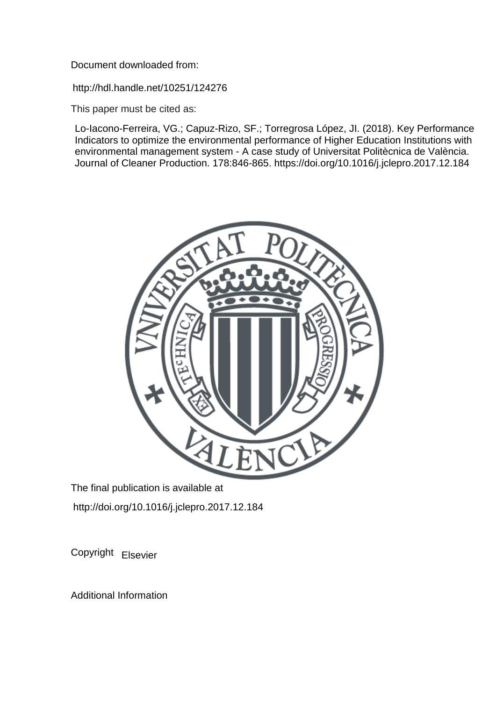Document downloaded from:

http://hdl.handle.net/10251/124276

This paper must be cited as:

Lo-Iacono-Ferreira, VG.; Capuz-Rizo, SF.; Torregrosa López, JI. (2018). Key Performance Indicators to optimize the environmental performance of Higher Education Institutions with environmental management system - A case study of Universitat Politècnica de València. Journal of Cleaner Production. 178:846-865. https://doi.org/10.1016/j.jclepro.2017.12.184



The final publication is available at http://doi.org/10.1016/j.jclepro.2017.12.184

Copyright Elsevier

Additional Information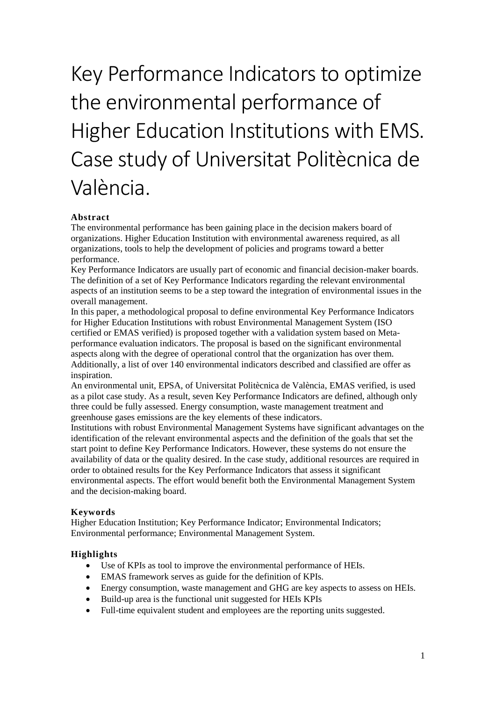# Key Performance Indicators to optimize the environmental performance of Higher Education Institutions with EMS. Case study of Universitat Politècnica de València.

## **Abstract**

The environmental performance has been gaining place in the decision makers board of organizations. Higher Education Institution with environmental awareness required, as all organizations, tools to help the development of policies and programs toward a better performance.

Key Performance Indicators are usually part of economic and financial decision-maker boards. The definition of a set of Key Performance Indicators regarding the relevant environmental aspects of an institution seems to be a step toward the integration of environmental issues in the overall management.

In this paper, a methodological proposal to define environmental Key Performance Indicators for Higher Education Institutions with robust Environmental Management System (ISO certified or EMAS verified) is proposed together with a validation system based on Metaperformance evaluation indicators. The proposal is based on the significant environmental aspects along with the degree of operational control that the organization has over them. Additionally, a list of over 140 environmental indicators described and classified are offer as inspiration.

An environmental unit, EPSA, of Universitat Politècnica de València, EMAS verified, is used as a pilot case study. As a result, seven Key Performance Indicators are defined, although only three could be fully assessed. Energy consumption, waste management treatment and greenhouse gases emissions are the key elements of these indicators.

Institutions with robust Environmental Management Systems have significant advantages on the identification of the relevant environmental aspects and the definition of the goals that set the start point to define Key Performance Indicators. However, these systems do not ensure the availability of data or the quality desired. In the case study, additional resources are required in order to obtained results for the Key Performance Indicators that assess it significant environmental aspects. The effort would benefit both the Environmental Management System and the decision-making board.

## **Keywords**

Higher Education Institution; Key Performance Indicator; Environmental Indicators; Environmental performance; Environmental Management System.

#### **Highlights**

- Use of KPIs as tool to improve the environmental performance of HEIs.
- EMAS framework serves as guide for the definition of KPIs.
- Energy consumption, waste management and GHG are key aspects to assess on HEIs.
- Build-up area is the functional unit suggested for HEIs KPIs
- Full-time equivalent student and employees are the reporting units suggested.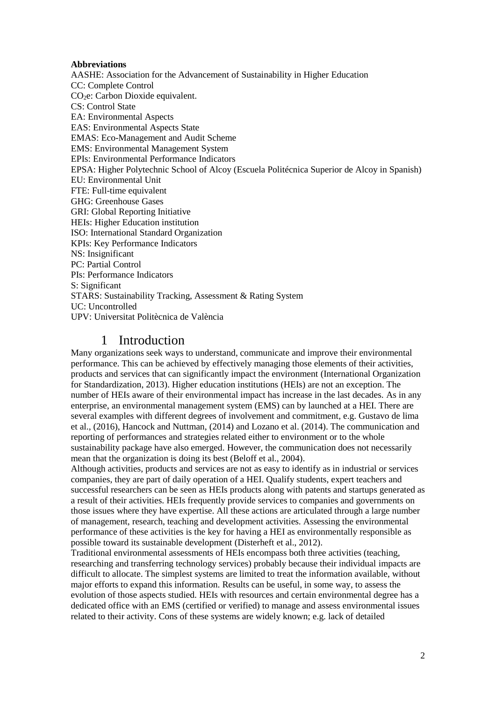#### **Abbreviations**

AASHE: Association for the Advancement of Sustainability in Higher Education CC: Complete Control CO2e: Carbon Dioxide equivalent. CS: Control State EA: Environmental Aspects EAS: Environmental Aspects State EMAS: Eco-Management and Audit Scheme EMS: Environmental Management System EPIs: Environmental Performance Indicators EPSA: Higher Polytechnic School of Alcoy (Escuela Politécnica Superior de Alcoy in Spanish) EU: Environmental Unit FTE: Full-time equivalent GHG: Greenhouse Gases GRI: Global Reporting Initiative HEIs: Higher Education institution ISO: International Standard Organization KPIs: Key Performance Indicators NS: Insignificant PC: Partial Control PIs: Performance Indicators S: Significant STARS: Sustainability Tracking, Assessment & Rating System UC: Uncontrolled UPV: Universitat Politècnica de València

# 1 Introduction

Many organizations seek ways to understand, communicate and improve their environmental performance. This can be achieved by effectively managing those elements of their activities, products and services that can significantly impact the environment (International Organization for Standardization, 2013). Higher education institutions (HEIs) are not an exception. The number of HEIs aware of their environmental impact has increase in the last decades. As in any enterprise, an environmental management system (EMS) can by launched at a HEI. There are several examples with different degrees of involvement and commitment, e.g. Gustavo de lima et al., (2016), Hancock and Nuttman, (2014) and Lozano et al. (2014). The communication and reporting of performances and strategies related either to environment or to the whole sustainability package have also emerged. However, the communication does not necessarily mean that the organization is doing its best (Beloff et al., 2004).

Although activities, products and services are not as easy to identify as in industrial or services companies, they are part of daily operation of a HEI. Qualify students, expert teachers and successful researchers can be seen as HEIs products along with patents and startups generated as a result of their activities. HEIs frequently provide services to companies and governments on those issues where they have expertise. All these actions are articulated through a large number of management, research, teaching and development activities. Assessing the environmental performance of these activities is the key for having a HEI as environmentally responsible as possible toward its sustainable development (Disterheft et al., 2012).

Traditional environmental assessments of HEIs encompass both three activities (teaching, researching and transferring technology services) probably because their individual impacts are difficult to allocate. The simplest systems are limited to treat the information available, without major efforts to expand this information. Results can be useful, in some way, to assess the evolution of those aspects studied. HEIs with resources and certain environmental degree has a dedicated office with an EMS (certified or verified) to manage and assess environmental issues related to their activity. Cons of these systems are widely known; e.g. lack of detailed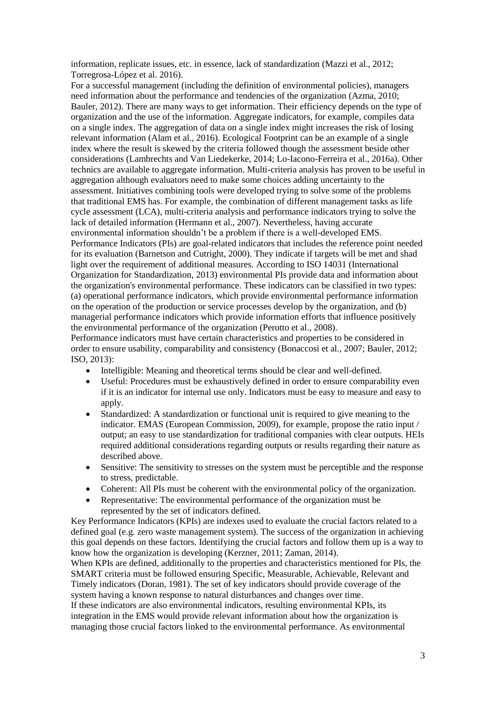information, replicate issues, etc. in essence, lack of standardization (Mazzi et al., 2012; Torregrosa-López et al. 2016).

For a successful management (including the definition of environmental policies), managers need information about the performance and tendencies of the organization (Azma, 2010; Bauler, 2012). There are many ways to get information. Their efficiency depends on the type of organization and the use of the information. Aggregate indicators, for example, compiles data on a single index. The aggregation of data on a single index might increases the risk of losing relevant information (Alam et al., 2016). Ecological Footprint can be an example of a single index where the result is skewed by the criteria followed though the assessment beside other considerations (Lambrechts and Van Liedekerke, 2014; Lo-Iacono-Ferreira et al., 2016a). Other technics are available to aggregate information. Multi-criteria analysis has proven to be useful in aggregation although evaluators need to make some choices adding uncertainty to the assessment. Initiatives combining tools were developed trying to solve some of the problems that traditional EMS has. For example, the combination of different management tasks as life cycle assessment (LCA), multi-criteria analysis and performance indicators trying to solve the lack of detailed information (Hermann et al., 2007). Nevertheless, having accurate environmental information shouldn't be a problem if there is a well-developed EMS. Performance Indicators (PIs) are goal-related indicators that includes the reference point needed for its evaluation (Barnetson and Cutright, 2000). They indicate if targets will be met and shad light over the requirement of additional measures. According to ISO 14031 (International Organization for Standardization, 2013) environmental PIs provide data and information about the organization's environmental performance. These indicators can be classified in two types: (a) operational performance indicators, which provide environmental performance information on the operation of the production or service processes develop by the organization, and (b) managerial performance indicators which provide information efforts that influence positively the environmental performance of the organization (Perotto et al., 2008). Performance indicators must have certain characteristics and properties to be considered in

order to ensure usability, comparability and consistency (Bonaccosi et al., 2007; Bauler, 2012; ISO, 2013):

- Intelligible: Meaning and theoretical terms should be clear and well-defined.
- Useful: Procedures must be exhaustively defined in order to ensure comparability even if it is an indicator for internal use only. Indicators must be easy to measure and easy to apply.
- Standardized: A standardization or functional unit is required to give meaning to the indicator. EMAS (European Commission, 2009), for example, propose the ratio input / output; an easy to use standardization for traditional companies with clear outputs. HEIs required additional considerations regarding outputs or results regarding their nature as described above.
- Sensitive: The sensitivity to stresses on the system must be perceptible and the response to stress, predictable.
- Coherent: All PIs must be coherent with the environmental policy of the organization.
- Representative: The environmental performance of the organization must be represented by the set of indicators defined.

Key Performance Indicators (KPIs) are indexes used to evaluate the crucial factors related to a defined goal (e.g. zero waste management system). The success of the organization in achieving this goal depends on these factors. Identifying the crucial factors and follow them up is a way to know how the organization is developing (Kerzner, 2011; Zaman, 2014).

When KPIs are defined, additionally to the properties and characteristics mentioned for PIs, the SMART criteria must be followed ensuring Specific, Measurable, Achievable, Relevant and Timely indicators (Doran, 1981). The set of key indicators should provide coverage of the system having a known response to natural disturbances and changes over time.

If these indicators are also environmental indicators, resulting environmental KPIs, its integration in the EMS would provide relevant information about how the organization is managing those crucial factors linked to the environmental performance. As environmental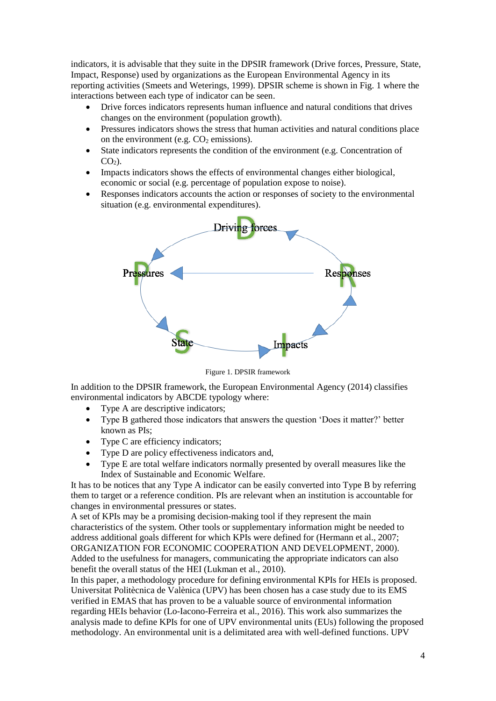indicators, it is advisable that they suite in the DPSIR framework (Drive forces, Pressure, State, Impact, Response) used by organizations as the European Environmental Agency in its reporting activities (Smeets and Weterings, 1999). DPSIR scheme is shown in Fig. 1 where the interactions between each type of indicator can be seen.

- Drive forces indicators represents human influence and natural conditions that drives changes on the environment (population growth).
- Pressures indicators shows the stress that human activities and natural conditions place on the environment (e.g.  $CO<sub>2</sub>$  emissions).
- State indicators represents the condition of the environment (e.g. Concentration of  $CO<sub>2</sub>$ ).
- Impacts indicators shows the effects of environmental changes either biological, economic or social (e.g. percentage of population expose to noise).
- Responses indicators accounts the action or responses of society to the environmental situation (e.g. environmental expenditures).



Figure 1. DPSIR framework

In addition to the DPSIR framework, the European Environmental Agency (2014) classifies environmental indicators by ABCDE typology where:

- Type A are descriptive indicators:
- Type B gathered those indicators that answers the question 'Does it matter?' better known as PIs;
- Type C are efficiency indicators;
- Type D are policy effectiveness indicators and,
- Type E are total welfare indicators normally presented by overall measures like the Index of Sustainable and Economic Welfare.

It has to be notices that any Type A indicator can be easily converted into Type B by referring them to target or a reference condition. PIs are relevant when an institution is accountable for changes in environmental pressures or states.

A set of KPIs may be a promising decision-making tool if they represent the main characteristics of the system. Other tools or supplementary information might be needed to address additional goals different for which KPIs were defined for (Hermann et al., 2007; ORGANIZATION FOR ECONOMIC COOPERATION AND DEVELOPMENT, 2000). Added to the usefulness for managers, communicating the appropriate indicators can also benefit the overall status of the HEI (Lukman et al., 2010).

In this paper, a methodology procedure for defining environmental KPIs for HEIs is proposed. Universitat Politècnica de Valènica (UPV) has been chosen has a case study due to its EMS verified in EMAS that has proven to be a valuable source of environmental information regarding HEIs behavior (Lo-Iacono-Ferreira et al., 2016). This work also summarizes the analysis made to define KPIs for one of UPV environmental units (EUs) following the proposed methodology. An environmental unit is a delimitated area with well-defined functions. UPV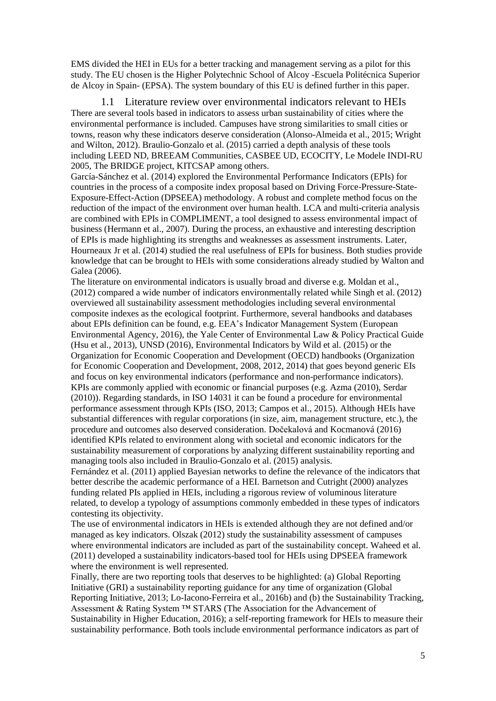EMS divided the HEI in EUs for a better tracking and management serving as a pilot for this study. The EU chosen is the Higher Polytechnic School of Alcoy -Escuela Politécnica Superior de Alcoy in Spain- (EPSA). The system boundary of this EU is defined further in this paper.

1.1 Literature review over environmental indicators relevant to HEIs There are several tools based in indicators to assess urban sustainability of cities where the environmental performance is included. Campuses have strong similarities to small cities or towns, reason why these indicators deserve consideration (Alonso-Almeida et al., 2015; Wright and Wilton, 2012). Braulio-Gonzalo et al. (2015) carried a depth analysis of these tools including LEED ND, BREEAM Communities, CASBEE UD, ECOCITY, Le Modele INDI-RU 2005, The BRIDGE project, KITCSAP among others.

García-Sánchez et al. (2014) explored the Environmental Performance Indicators (EPIs) for countries in the process of a composite index proposal based on Driving Force-Pressure-State-Exposure-Effect-Action (DPSEEA) methodology. A robust and complete method focus on the reduction of the impact of the environment over human health. LCA and multi-criteria analysis are combined with EPIs in COMPLIMENT, a tool designed to assess environmental impact of business (Hermann et al., 2007). During the process, an exhaustive and interesting description of EPIs is made highlighting its strengths and weaknesses as assessment instruments. Later, Hourneaux Jr et al. (2014) studied the real usefulness of EPIs for business. Both studies provide knowledge that can be brought to HEIs with some considerations already studied by Walton and Galea (2006).

The literature on environmental indicators is usually broad and diverse e.g. Moldan et al., (2012) compared a wide number of indicators environmentally related while Singh et al. (2012) overviewed all sustainability assessment methodologies including several environmental composite indexes as the ecological footprint. Furthermore, several handbooks and databases about EPIs definition can be found, e.g. EEA's Indicator Management System (European Environmental Agency, 2016), the Yale Center of Environmental Law & Policy Practical Guide (Hsu et al., 2013), UNSD (2016), Environmental Indicators by Wild et al. (2015) or the Organization for Economic Cooperation and Development (OECD) handbooks (Organization for Economic Cooperation and Development, 2008, 2012, 2014) that goes beyond generic EIs and focus on key environmental indicators (performance and non-performance indicators). KPIs are commonly applied with economic or financial purposes (e.g. Azma (2010), Serdar (2010)). Regarding standards, in ISO 14031 it can be found a procedure for environmental performance assessment through KPIs (ISO, 2013; Campos et al., 2015). Although HEIs have substantial differences with regular corporations (in size, aim, management structure, etc.), the procedure and outcomes also deserved consideration. Dočekalová and Kocmanová (2016) identified KPIs related to environment along with societal and economic indicators for the sustainability measurement of corporations by analyzing different sustainability reporting and managing tools also included in Braulio-Gonzalo et al. (2015) analysis.

Fernández et al. (2011) applied Bayesian networks to define the relevance of the indicators that better describe the academic performance of a HEI. Barnetson and Cutright (2000) analyzes funding related PIs applied in HEIs, including a rigorous review of voluminous literature related, to develop a typology of assumptions commonly embedded in these types of indicators contesting its objectivity.

The use of environmental indicators in HEIs is extended although they are not defined and/or managed as key indicators. Olszak (2012) study the sustainability assessment of campuses where environmental indicators are included as part of the sustainability concept. Waheed et al. (2011) developed a sustainability indicators-based tool for HEIs using DPSEEA framework where the environment is well represented.

Finally, there are two reporting tools that deserves to be highlighted: (a) Global Reporting Initiative (GRI) a sustainability reporting guidance for any time of organization (Global Reporting Initiative, 2013; Lo-Iacono-Ferreira et al., 2016b) and (b) the Sustainability Tracking, Assessment & Rating System ™ STARS (The Association for the Advancement of Sustainability in Higher Education, 2016); a self-reporting framework for HEIs to measure their sustainability performance. Both tools include environmental performance indicators as part of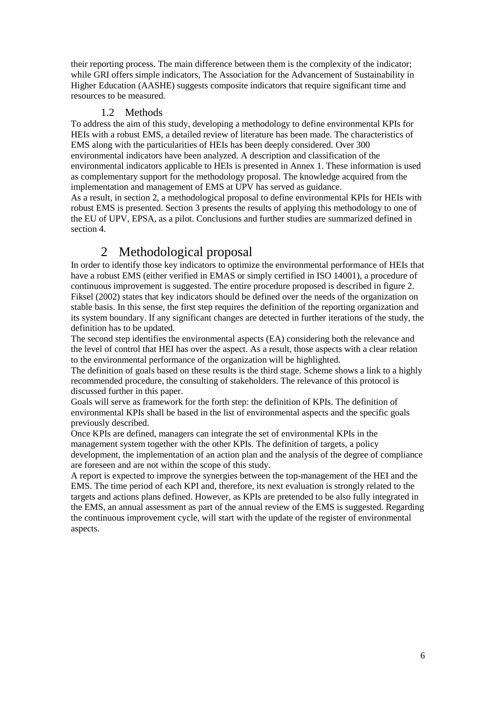their reporting process. The main difference between them is the complexity of the indicator; while GRI offers simple indicators, The Association for the Advancement of Sustainability in Higher Education (AASHE) suggests composite indicators that require significant time and resources to be measured.

#### 1.2 Methods

To address the aim of this study, developing a methodology to define environmental KPIs for HEIs with a robust EMS, a detailed review of literature has been made. The characteristics of EMS along with the particularities of HEIs has been deeply considered. Over 300 environmental indicators have been analyzed. A description and classification of the environmental indicators applicable to HEIs is presented in Annex 1. These information is used as complementary support for the methodology proposal. The knowledge acquired from the implementation and management of EMS at UPV has served as guidance. As a result, in section 2, a methodological proposal to define environmental KPIs for HEIs with robust EMS is presented. Section 3 presents the results of applying this methodology to one of the EU of UPV, EPSA, as a pilot. Conclusions and further studies are summarized defined in section 4.

# 2 Methodological proposal

In order to identify those key indicators to optimize the environmental performance of HEIs that have a robust EMS (either verified in EMAS or simply certified in ISO 14001), a procedure of continuous improvement is suggested. The entire procedure proposed is described in figure 2. Fiksel (2002) states that key indicators should be defined over the needs of the organization on stable basis. In this sense, the first step requires the definition of the reporting organization and its system boundary. If any significant changes are detected in further iterations of the study, the definition has to be updated.

The second step identifies the environmental aspects (EA) considering both the relevance and the level of control that HEI has over the aspect. As a result, those aspects with a clear relation to the environmental performance of the organization will be highlighted.

The definition of goals based on these results is the third stage. Scheme shows a link to a highly recommended procedure, the consulting of stakeholders. The relevance of this protocol is discussed further in this paper.

Goals will serve as framework for the forth step: the definition of KPIs. The definition of environmental KPIs shall be based in the list of environmental aspects and the specific goals previously described.

Once KPIs are defined, managers can integrate the set of environmental KPIs in the management system together with the other KPIs. The definition of targets, a policy development, the implementation of an action plan and the analysis of the degree of compliance are foreseen and are not within the scope of this study.

A report is expected to improve the synergies between the top-management of the HEI and the EMS. The time period of each KPI and, therefore, its next evaluation is strongly related to the targets and actions plans defined. However, as KPIs are pretended to be also fully integrated in the EMS, an annual assessment as part of the annual review of the EMS is suggested. Regarding the continuous improvement cycle, will start with the update of the register of environmental aspects.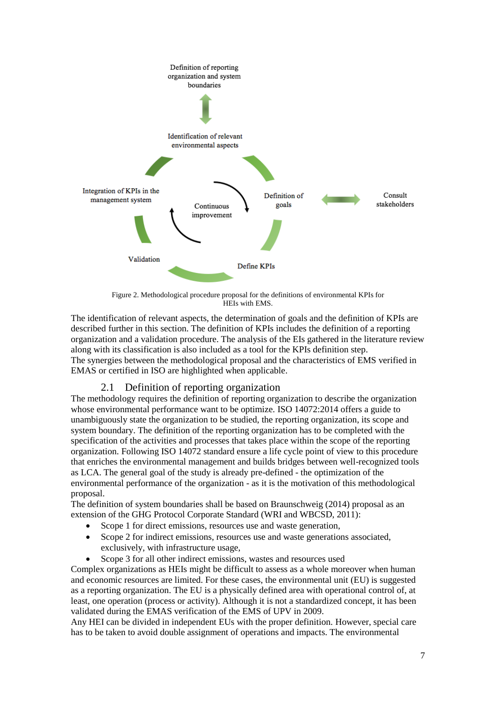

Figure 2. Methodological procedure proposal for the definitions of environmental KPIs for HEIs with EMS.

The identification of relevant aspects, the determination of goals and the definition of KPIs are described further in this section. The definition of KPIs includes the definition of a reporting organization and a validation procedure. The analysis of the EIs gathered in the literature review along with its classification is also included as a tool for the KPIs definition step. The synergies between the methodological proposal and the characteristics of EMS verified in EMAS or certified in ISO are highlighted when applicable.

## 2.1 Definition of reporting organization

The methodology requires the definition of reporting organization to describe the organization whose environmental performance want to be optimize. ISO 14072:2014 offers a guide to unambiguously state the organization to be studied, the reporting organization, its scope and system boundary. The definition of the reporting organization has to be completed with the specification of the activities and processes that takes place within the scope of the reporting organization. Following ISO 14072 standard ensure a life cycle point of view to this procedure that enriches the environmental management and builds bridges between well-recognized tools as LCA. The general goal of the study is already pre-defined - the optimization of the environmental performance of the organization - as it is the motivation of this methodological proposal.

The definition of system boundaries shall be based on Braunschweig (2014) proposal as an extension of the GHG Protocol Corporate Standard (WRI and WBCSD, 2011):

- Scope 1 for direct emissions, resources use and waste generation,
- Scope 2 for indirect emissions, resources use and waste generations associated, exclusively, with infrastructure usage,
- Scope 3 for all other indirect emissions, wastes and resources used

Complex organizations as HEIs might be difficult to assess as a whole moreover when human and economic resources are limited. For these cases, the environmental unit (EU) is suggested as a reporting organization. The EU is a physically defined area with operational control of, at least, one operation (process or activity). Although it is not a standardized concept, it has been validated during the EMAS verification of the EMS of UPV in 2009.

Any HEI can be divided in independent EUs with the proper definition. However, special care has to be taken to avoid double assignment of operations and impacts. The environmental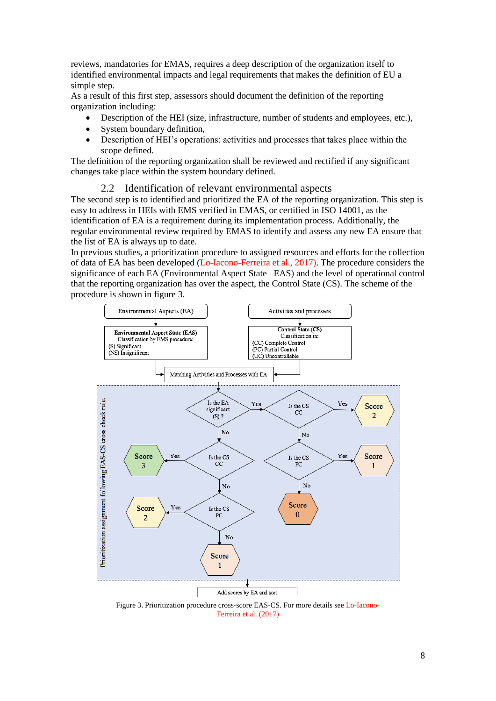reviews, mandatories for EMAS, requires a deep description of the organization itself to identified environmental impacts and legal requirements that makes the definition of EU a simple step.

As a result of this first step, assessors should document the definition of the reporting organization including:

- Description of the HEI (size, infrastructure, number of students and employees, etc.),
- System boundary definition,
- Description of HEI's operations: activities and processes that takes place within the scope defined.

The definition of the reporting organization shall be reviewed and rectified if any significant changes take place within the system boundary defined.

#### 2.2 Identification of relevant environmental aspects

The second step is to identified and prioritized the EA of the reporting organization. This step is easy to address in HEIs with EMS verified in EMAS, or certified in ISO 14001, as the identification of EA is a requirement during its implementation process. Additionally, the regular environmental review required by EMAS to identify and assess any new EA ensure that the list of EA is always up to date.

In previous studies, a prioritization procedure to assigned resources and efforts for the collection of data of EA has been developed (Lo-Iacono-Ferreira et al., 2017). The procedure considers the significance of each EA (Environmental Aspect State –EAS) and the level of operational control that the reporting organization has over the aspect, the Control State (CS). The scheme of the procedure is shown in figure 3.



Figure 3. Prioritization procedure cross-score EAS-CS. For more details see Lo-Iacono-Ferreira et al. (2017)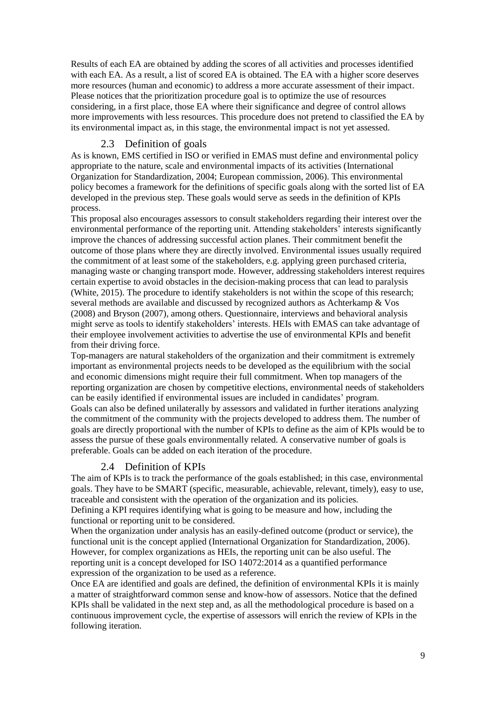Results of each EA are obtained by adding the scores of all activities and processes identified with each EA. As a result, a list of scored EA is obtained. The EA with a higher score deserves more resources (human and economic) to address a more accurate assessment of their impact. Please notices that the prioritization procedure goal is to optimize the use of resources considering, in a first place, those EA where their significance and degree of control allows more improvements with less resources. This procedure does not pretend to classified the EA by its environmental impact as, in this stage, the environmental impact is not yet assessed.

#### 2.3 Definition of goals

As is known, EMS certified in ISO or verified in EMAS must define and environmental policy appropriate to the nature, scale and environmental impacts of its activities (International Organization for Standardization, 2004; European commission, 2006). This environmental policy becomes a framework for the definitions of specific goals along with the sorted list of EA developed in the previous step. These goals would serve as seeds in the definition of KPIs process.

This proposal also encourages assessors to consult stakeholders regarding their interest over the environmental performance of the reporting unit. Attending stakeholders' interests significantly improve the chances of addressing successful action planes. Their commitment benefit the outcome of those plans where they are directly involved. Environmental issues usually required the commitment of at least some of the stakeholders, e.g. applying green purchased criteria, managing waste or changing transport mode. However, addressing stakeholders interest requires certain expertise to avoid obstacles in the decision-making process that can lead to paralysis (White, 2015). The procedure to identify stakeholders is not within the scope of this research; several methods are available and discussed by recognized authors as Achterkamp & Vos (2008) and Bryson (2007), among others. Questionnaire, interviews and behavioral analysis might serve as tools to identify stakeholders' interests. HEIs with EMAS can take advantage of their employee involvement activities to advertise the use of environmental KPIs and benefit from their driving force.

Top-managers are natural stakeholders of the organization and their commitment is extremely important as environmental projects needs to be developed as the equilibrium with the social and economic dimensions might require their full commitment. When top managers of the reporting organization are chosen by competitive elections, environmental needs of stakeholders can be easily identified if environmental issues are included in candidates' program. Goals can also be defined unilaterally by assessors and validated in further iterations analyzing the commitment of the community with the projects developed to address them. The number of goals are directly proportional with the number of KPIs to define as the aim of KPIs would be to assess the pursue of these goals environmentally related. A conservative number of goals is preferable. Goals can be added on each iteration of the procedure.

#### 2.4 Definition of KPIs

The aim of KPIs is to track the performance of the goals established; in this case, environmental goals. They have to be SMART (specific, measurable, achievable, relevant, timely), easy to use, traceable and consistent with the operation of the organization and its policies.

Defining a KPI requires identifying what is going to be measure and how, including the functional or reporting unit to be considered.

When the organization under analysis has an easily-defined outcome (product or service), the functional unit is the concept applied (International Organization for Standardization, 2006). However, for complex organizations as HEIs, the reporting unit can be also useful. The reporting unit is a concept developed for ISO 14072:2014 as a quantified performance expression of the organization to be used as a reference.

Once EA are identified and goals are defined, the definition of environmental KPIs it is mainly a matter of straightforward common sense and know-how of assessors. Notice that the defined KPIs shall be validated in the next step and, as all the methodological procedure is based on a continuous improvement cycle, the expertise of assessors will enrich the review of KPIs in the following iteration.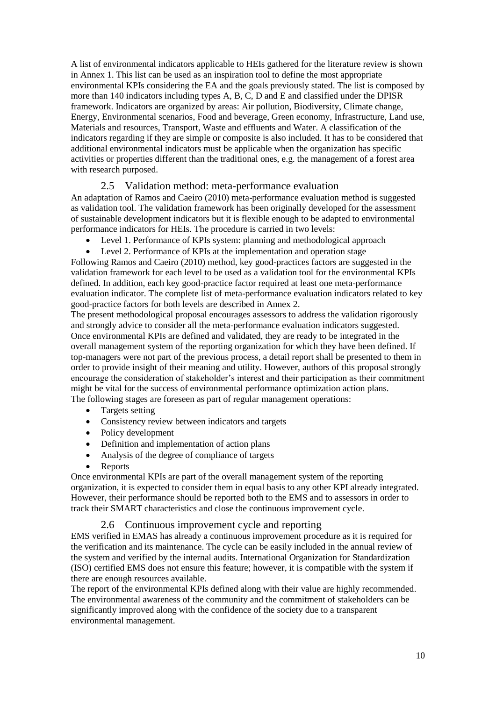A list of environmental indicators applicable to HEIs gathered for the literature review is shown in Annex 1. This list can be used as an inspiration tool to define the most appropriate environmental KPIs considering the EA and the goals previously stated. The list is composed by more than 140 indicators including types A, B, C, D and E and classified under the DPISR framework. Indicators are organized by areas: Air pollution, Biodiversity, Climate change, Energy, Environmental scenarios, Food and beverage, Green economy, Infrastructure, Land use, Materials and resources, Transport, Waste and effluents and Water. A classification of the indicators regarding if they are simple or composite is also included. It has to be considered that additional environmental indicators must be applicable when the organization has specific activities or properties different than the traditional ones, e.g. the management of a forest area with research purposed.

## 2.5 Validation method: meta-performance evaluation

An adaptation of Ramos and Caeiro (2010) meta-performance evaluation method is suggested as validation tool. The validation framework has been originally developed for the assessment of sustainable development indicators but it is flexible enough to be adapted to environmental performance indicators for HEIs. The procedure is carried in two levels:

- Level 1. Performance of KPIs system: planning and methodological approach
- Level 2. Performance of KPIs at the implementation and operation stage

Following Ramos and Caeiro (2010) method, key good-practices factors are suggested in the validation framework for each level to be used as a validation tool for the environmental KPIs defined. In addition, each key good-practice factor required at least one meta-performance evaluation indicator. The complete list of meta-performance evaluation indicators related to key good-practice factors for both levels are described in Annex 2.

The present methodological proposal encourages assessors to address the validation rigorously and strongly advice to consider all the meta-performance evaluation indicators suggested. Once environmental KPIs are defined and validated, they are ready to be integrated in the overall management system of the reporting organization for which they have been defined. If top-managers were not part of the previous process, a detail report shall be presented to them in order to provide insight of their meaning and utility. However, authors of this proposal strongly encourage the consideration of stakeholder's interest and their participation as their commitment might be vital for the success of environmental performance optimization action plans. The following stages are foreseen as part of regular management operations:

- Targets setting
- Consistency review between indicators and targets
- Policy development
- Definition and implementation of action plans
- Analysis of the degree of compliance of targets
- Reports

Once environmental KPIs are part of the overall management system of the reporting organization, it is expected to consider them in equal basis to any other KPI already integrated. However, their performance should be reported both to the EMS and to assessors in order to track their SMART characteristics and close the continuous improvement cycle.

#### 2.6 Continuous improvement cycle and reporting

EMS verified in EMAS has already a continuous improvement procedure as it is required for the verification and its maintenance. The cycle can be easily included in the annual review of the system and verified by the internal audits. International Organization for Standardization (ISO) certified EMS does not ensure this feature; however, it is compatible with the system if there are enough resources available.

The report of the environmental KPIs defined along with their value are highly recommended. The environmental awareness of the community and the commitment of stakeholders can be significantly improved along with the confidence of the society due to a transparent environmental management.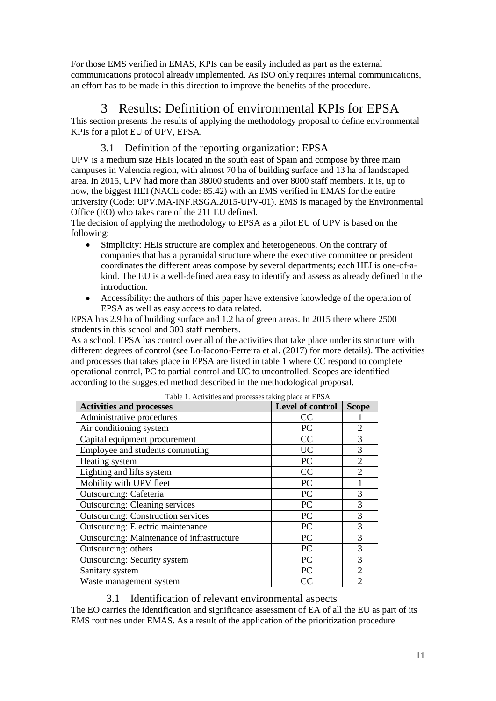For those EMS verified in EMAS, KPIs can be easily included as part as the external communications protocol already implemented. As ISO only requires internal communications, an effort has to be made in this direction to improve the benefits of the procedure.

# 3 Results: Definition of environmental KPIs for EPSA

This section presents the results of applying the methodology proposal to define environmental KPIs for a pilot EU of UPV, EPSA.

## 3.1 Definition of the reporting organization: EPSA

UPV is a medium size HEIs located in the south east of Spain and compose by three main campuses in Valencia region, with almost 70 ha of building surface and 13 ha of landscaped area. In 2015, UPV had more than 38000 students and over 8000 staff members. It is, up to now, the biggest HEI (NACE code: 85.42) with an EMS verified in EMAS for the entire university (Code: UPV.MA-INF.RSGA.2015-UPV-01). EMS is managed by the Environmental Office (EO) who takes care of the 211 EU defined.

The decision of applying the methodology to EPSA as a pilot EU of UPV is based on the following:

- Simplicity: HEIs structure are complex and heterogeneous. On the contrary of companies that has a pyramidal structure where the executive committee or president coordinates the different areas compose by several departments; each HEI is one-of-akind. The EU is a well-defined area easy to identify and assess as already defined in the introduction.
- Accessibility: the authors of this paper have extensive knowledge of the operation of EPSA as well as easy access to data related.

EPSA has 2.9 ha of building surface and 1.2 ha of green areas. In 2015 there where 2500 students in this school and 300 staff members.

As a school, EPSA has control over all of the activities that take place under its structure with different degrees of control (see Lo-Iacono-Ferreira et al. (2017) for more details). The activities and processes that takes place in EPSA are listed in table 1 where CC respond to complete operational control, PC to partial control and UC to uncontrolled. Scopes are identified according to the suggested method described in the methodological proposal.

| Table 1. Activities and processes taking place at El DAY<br><b>Activities and processes</b> | Level of control | <b>Scope</b>   |
|---------------------------------------------------------------------------------------------|------------------|----------------|
| Administrative procedures                                                                   | CC               |                |
| Air conditioning system                                                                     | PC               | $\overline{2}$ |
| Capital equipment procurement                                                               | CC               | 3              |
| Employee and students commuting                                                             | <b>UC</b>        | 3              |
| Heating system                                                                              | PC               | $\overline{2}$ |
| Lighting and lifts system                                                                   | CC               | $\overline{2}$ |
| Mobility with UPV fleet                                                                     | PC               |                |
| Outsourcing: Cafeteria                                                                      | PC               | 3              |
| <b>Outsourcing: Cleaning services</b>                                                       | PC               | 3              |
| <b>Outsourcing: Construction services</b>                                                   | PC               | 3              |
| <b>Outsourcing: Electric maintenance</b>                                                    | <b>PC</b>        | 3              |
| Outsourcing: Maintenance of infrastructure                                                  | PC               | 3              |
| Outsourcing: others                                                                         | PC               | 3              |
| <b>Outsourcing: Security system</b>                                                         | PC               | 3              |
| Sanitary system                                                                             | PC               | $\overline{2}$ |
| Waste management system                                                                     | CC               | $\overline{2}$ |

|  | Table 1. Activities and processes taking place at EPSA |  |  |  |
|--|--------------------------------------------------------|--|--|--|
|  |                                                        |  |  |  |

#### 3.1 Identification of relevant environmental aspects

The EO carries the identification and significance assessment of EA of all the EU as part of its EMS routines under EMAS. As a result of the application of the prioritization procedure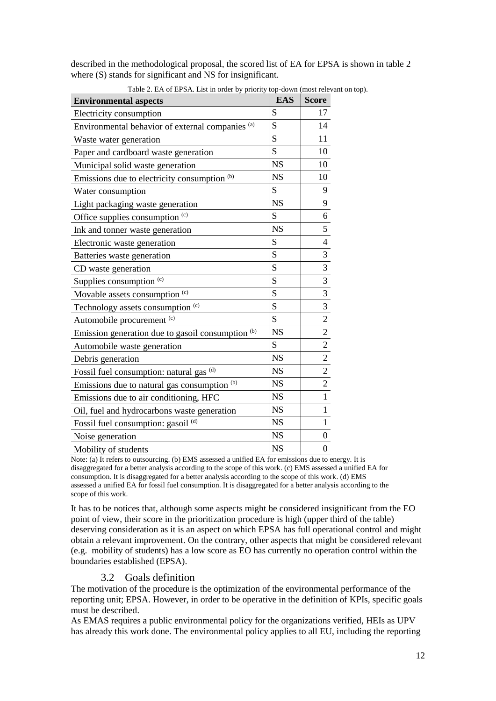described in the methodological proposal, the scored list of EA for EPSA is shown in table 2 where  $(S)$  stands for significant and NS for insignificant.

| <b>Environmental aspects</b>                      | <b>EAS</b> | <b>Score</b>                                                          |
|---------------------------------------------------|------------|-----------------------------------------------------------------------|
| Electricity consumption                           | S          | 17                                                                    |
| Environmental behavior of external companies (a)  | S          | 14                                                                    |
| Waste water generation                            | S          | 11                                                                    |
| Paper and cardboard waste generation              | S          | 10                                                                    |
| Municipal solid waste generation                  | <b>NS</b>  | 10                                                                    |
| Emissions due to electricity consumption (b)      | <b>NS</b>  | 10                                                                    |
| Water consumption                                 | S          | 9                                                                     |
| Light packaging waste generation                  | <b>NS</b>  | 9                                                                     |
| Office supplies consumption (c)                   | S          | $\overline{6}$                                                        |
| Ink and tonner waste generation                   | <b>NS</b>  | $\overline{5}$                                                        |
| Electronic waste generation                       | S          | $\overline{4}$                                                        |
| Batteries waste generation                        | S          | $\overline{3}$                                                        |
| CD waste generation                               | S          |                                                                       |
| Supplies consumption <sup>(c)</sup>               | S          | $\frac{3}{3}$                                                         |
| Movable assets consumption (c)                    | S          |                                                                       |
| Technology assets consumption (c)                 | S          |                                                                       |
| Automobile procurement (c)                        | S          |                                                                       |
| Emission generation due to gasoil consumption (b) | <b>NS</b>  |                                                                       |
| Automobile waste generation                       | S          | $\frac{3}{2}$ $\frac{2}{2}$ $\frac{2}{2}$ $\frac{2}{2}$ $\frac{2}{1}$ |
| Debris generation                                 | <b>NS</b>  |                                                                       |
| Fossil fuel consumption: natural gas (d)          | <b>NS</b>  |                                                                       |
| Emissions due to natural gas consumption (b)      | <b>NS</b>  |                                                                       |
| Emissions due to air conditioning, HFC            | <b>NS</b>  |                                                                       |
| Oil, fuel and hydrocarbons waste generation       | <b>NS</b>  | $\overline{1}$                                                        |
| Fossil fuel consumption: gasoil <sup>(d)</sup>    | <b>NS</b>  | $\mathbf{1}$                                                          |
| Noise generation                                  | <b>NS</b>  | $\overline{0}$                                                        |
| Mobility of students                              | <b>NS</b>  | $\boldsymbol{0}$                                                      |

Table 2. EA of EPSA. List in order by priority top-down (most relevant on top).

Note: (a) It refers to outsourcing. (b) EMS assessed a unified EA for emissions due to energy. It is disaggregated for a better analysis according to the scope of this work. (c) EMS assessed a unified EA for consumption. It is disaggregated for a better analysis according to the scope of this work. (d) EMS assessed a unified EA for fossil fuel consumption. It is disaggregated for a better analysis according to the scope of this work.

It has to be notices that, although some aspects might be considered insignificant from the EO point of view, their score in the prioritization procedure is high (upper third of the table) deserving consideration as it is an aspect on which EPSA has full operational control and might obtain a relevant improvement. On the contrary, other aspects that might be considered relevant (e.g. mobility of students) has a low score as EO has currently no operation control within the boundaries established (EPSA).

## 3.2 Goals definition

The motivation of the procedure is the optimization of the environmental performance of the reporting unit; EPSA. However, in order to be operative in the definition of KPIs, specific goals must be described.

As EMAS requires a public environmental policy for the organizations verified, HEIs as UPV has already this work done. The environmental policy applies to all EU, including the reporting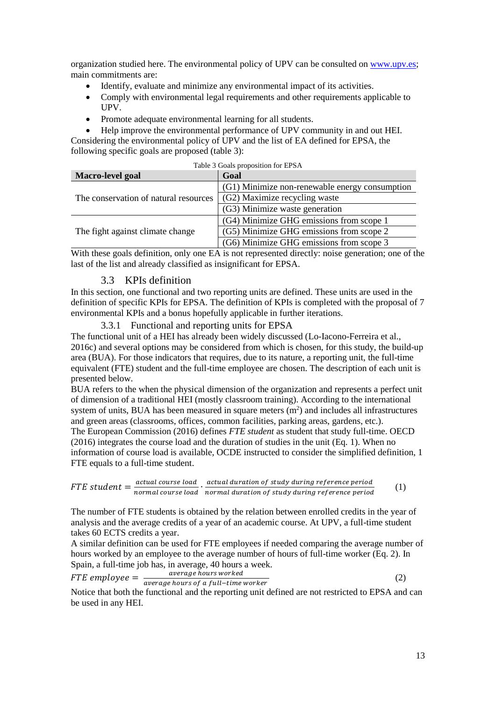organization studied here. The environmental policy of UPV can be consulted on [www.upv.es;](http://www.upv.es/) main commitments are:

- Identify, evaluate and minimize any environmental impact of its activities.
- Comply with environmental legal requirements and other requirements applicable to UPV.
- Promote adequate environmental learning for all students.

 Help improve the environmental performance of UPV community in and out HEI. Considering the environmental policy of UPV and the list of EA defined for EPSA, the following specific goals are proposed (table 3):

| Table 3 Goals proposition for EPSA    |                                                |  |  |  |  |  |
|---------------------------------------|------------------------------------------------|--|--|--|--|--|
| Macro-level goal                      | Goal                                           |  |  |  |  |  |
|                                       | (G1) Minimize non-renewable energy consumption |  |  |  |  |  |
| The conservation of natural resources | (G2) Maximize recycling waste                  |  |  |  |  |  |
|                                       | (G3) Minimize waste generation                 |  |  |  |  |  |
|                                       | (G4) Minimize GHG emissions from scope 1       |  |  |  |  |  |
| The fight against climate change      | (G5) Minimize GHG emissions from scope 2       |  |  |  |  |  |
|                                       | (G6) Minimize GHG emissions from scope 3       |  |  |  |  |  |

With these goals definition, only one EA is not represented directly: noise generation; one of the last of the list and already classified as insignificant for EPSA.

## 3.3 KPIs definition

In this section, one functional and two reporting units are defined. These units are used in the definition of specific KPIs for EPSA. The definition of KPIs is completed with the proposal of 7 environmental KPIs and a bonus hopefully applicable in further iterations.

3.3.1 Functional and reporting units for EPSA

The functional unit of a HEI has already been widely discussed (Lo-Iacono-Ferreira et al., 2016c) and several options may be considered from which is chosen, for this study, the build-up area (BUA). For those indicators that requires, due to its nature, a reporting unit, the full-time equivalent (FTE) student and the full-time employee are chosen. The description of each unit is presented below.

BUA refers to the when the physical dimension of the organization and represents a perfect unit of dimension of a traditional HEI (mostly classroom training). According to the international system of units, BUA has been measured in square meters  $(m<sup>2</sup>)$  and includes all infrastructures and green areas (classrooms, offices, common facilities, parking areas, gardens, etc.). The European Commission (2016) defines *FTE student* as student that study full-time. OECD (2016) integrates the course load and the duration of studies in the unit (Eq. 1). When no information of course load is available, OCDE instructed to consider the simplified definition, 1 FTE equals to a full-time student.

$$
FTE\ student = \frac{actual\ course\ load}{normal\ course\ load} \cdot \frac{actual\ duration\ of\ study\ during\ reference\ period}{normal\ duration\ of\ study\ during\ reference\ period} \tag{1}
$$

The number of FTE students is obtained by the relation between enrolled credits in the year of analysis and the average credits of a year of an academic course. At UPV, a full-time student takes 60 ECTS credits a year.

A similar definition can be used for FTE employees if needed comparing the average number of hours worked by an employee to the average number of hours of full-time worker (Eq. 2). In Spain, a full-time job has, in average, 40 hours a week.

$$
FTE\ employee = \frac{\text{average hours worked}}{\text{average hours of a full-time worker}}
$$
\n(2)

Notice that both the functional and the reporting unit defined are not restricted to EPSA and can be used in any HEI.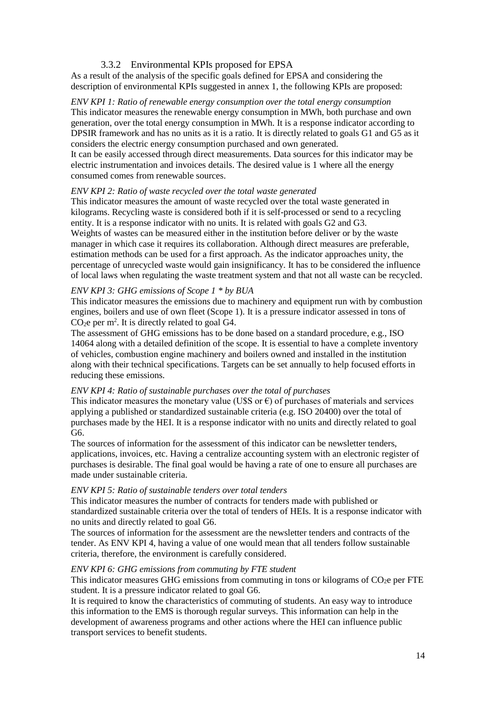### 3.3.2 Environmental KPIs proposed for EPSA

As a result of the analysis of the specific goals defined for EPSA and considering the description of environmental KPIs suggested in annex 1, the following KPIs are proposed:

*ENV KPI 1: Ratio of renewable energy consumption over the total energy consumption* This indicator measures the renewable energy consumption in MWh, both purchase and own generation, over the total energy consumption in MWh. It is a response indicator according to DPSIR framework and has no units as it is a ratio. It is directly related to goals G1 and G5 as it considers the electric energy consumption purchased and own generated. It can be easily accessed through direct measurements. Data sources for this indicator may be electric instrumentation and invoices details. The desired value is 1 where all the energy consumed comes from renewable sources.

#### *ENV KPI 2: Ratio of waste recycled over the total waste generated*

This indicator measures the amount of waste recycled over the total waste generated in kilograms. Recycling waste is considered both if it is self-processed or send to a recycling entity. It is a response indicator with no units. It is related with goals G2 and G3. Weights of wastes can be measured either in the institution before deliver or by the waste manager in which case it requires its collaboration. Although direct measures are preferable, estimation methods can be used for a first approach. As the indicator approaches unity, the percentage of unrecycled waste would gain insignificancy. It has to be considered the influence of local laws when regulating the waste treatment system and that not all waste can be recycled.

#### *ENV KPI 3: GHG emissions of Scope 1 \* by BUA*

This indicator measures the emissions due to machinery and equipment run with by combustion engines, boilers and use of own fleet (Scope 1). It is a pressure indicator assessed in tons of  $CO<sub>2</sub>e$  per m<sup>2</sup>. It is directly related to goal G4.

The assessment of GHG emissions has to be done based on a standard procedure, e.g., ISO 14064 along with a detailed definition of the scope. It is essential to have a complete inventory of vehicles, combustion engine machinery and boilers owned and installed in the institution along with their technical specifications. Targets can be set annually to help focused efforts in reducing these emissions.

#### *ENV KPI 4: Ratio of sustainable purchases over the total of purchases*

This indicator measures the monetary value (U\$S or  $\epsilon$ ) of purchases of materials and services applying a published or standardized sustainable criteria (e.g. ISO 20400) over the total of purchases made by the HEI. It is a response indicator with no units and directly related to goal G6.

The sources of information for the assessment of this indicator can be newsletter tenders, applications, invoices, etc. Having a centralize accounting system with an electronic register of purchases is desirable. The final goal would be having a rate of one to ensure all purchases are made under sustainable criteria.

#### *ENV KPI 5: Ratio of sustainable tenders over total tenders*

This indicator measures the number of contracts for tenders made with published or standardized sustainable criteria over the total of tenders of HEIs. It is a response indicator with no units and directly related to goal G6.

The sources of information for the assessment are the newsletter tenders and contracts of the tender. As ENV KPI 4, having a value of one would mean that all tenders follow sustainable criteria, therefore, the environment is carefully considered.

#### *ENV KPI 6: GHG emissions from commuting by FTE student*

This indicator measures GHG emissions from commuting in tons or kilograms of  $CO<sub>2</sub>e$  per FTE student. It is a pressure indicator related to goal G6.

It is required to know the characteristics of commuting of students. An easy way to introduce this information to the EMS is thorough regular surveys. This information can help in the development of awareness programs and other actions where the HEI can influence public transport services to benefit students.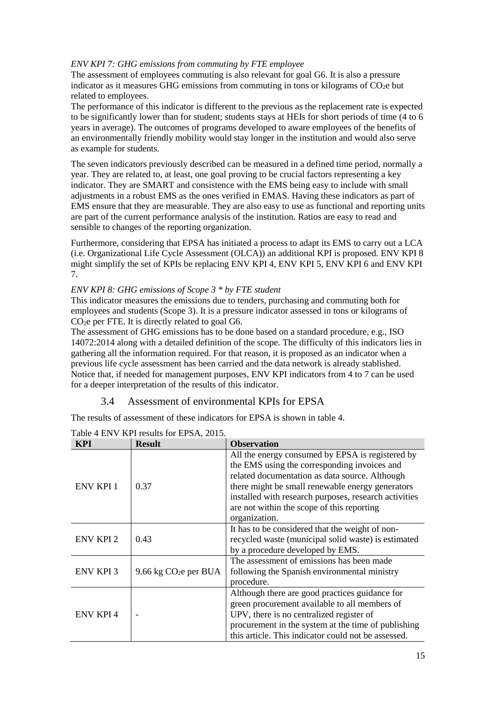#### *ENV KPI 7: GHG emissions from commuting by FTE employee*

The assessment of employees commuting is also relevant for goal G6. It is also a pressure indicator as it measures GHG emissions from commuting in tons or kilograms of  $CO<sub>2</sub>e$  but related to employees.

The performance of this indicator is different to the previous as the replacement rate is expected to be significantly lower than for student; students stays at HEIs for short periods of time (4 to 6 years in average). The outcomes of programs developed to aware employees of the benefits of an environmentally friendly mobility would stay longer in the institution and would also serve as example for students.

The seven indicators previously described can be measured in a defined time period, normally a year. They are related to, at least, one goal proving to be crucial factors representing a key indicator. They are SMART and consistence with the EMS being easy to include with small adjustments in a robust EMS as the ones verified in EMAS. Having these indicators as part of EMS ensure that they are measurable. They are also easy to use as functional and reporting units are part of the current performance analysis of the institution. Ratios are easy to read and sensible to changes of the reporting organization.

Furthermore, considering that EPSA has initiated a process to adapt its EMS to carry out a LCA (i.e. Organizational Life Cycle Assessment (OLCA)) an additional KPI is proposed. ENV KPI 8 might simplify the set of KPIs be replacing ENV KPI 4, ENV KPI 5, ENV KPI 6 and ENV KPI 7.

#### *ENV KPI 8: GHG emissions of Scope 3 \* by FTE student*

This indicator measures the emissions due to tenders, purchasing and commuting both for employees and students (Scope 3). It is a pressure indicator assessed in tons or kilograms of CO2e per FTE. It is directly related to goal G6.

The assessment of GHG emissions has to be done based on a standard procedure, e.g., ISO 14072:2014 along with a detailed definition of the scope. The difficulty of this indicators lies in gathering all the information required. For that reason, it is proposed as an indicator when a previous life cycle assessment has been carried and the data network is already stablished. Notice that, if needed for management purposes, ENV KPI indicators from 4 to 7 can be used for a deeper interpretation of the results of this indicator.

## 3.4 Assessment of environmental KPIs for EPSA

The results of assessment of these indicators for EPSA is shown in table 4.

| KPI              | <b>Result</b>          | <b>Observation</b>                                                                                                                                                                                                                                                                                                             |
|------------------|------------------------|--------------------------------------------------------------------------------------------------------------------------------------------------------------------------------------------------------------------------------------------------------------------------------------------------------------------------------|
| <b>ENV KPI 1</b> | 0.37                   | All the energy consumed by EPSA is registered by<br>the EMS using the corresponding invoices and<br>related documentation as data source. Although<br>there might be small renewable energy generators<br>installed with research purposes, research activities<br>are not within the scope of this reporting<br>organization. |
| <b>ENV KPI 2</b> | 0.43                   | It has to be considered that the weight of non-<br>recycled waste (municipal solid waste) is estimated<br>by a procedure developed by EMS.                                                                                                                                                                                     |
| <b>ENV KPI 3</b> | 9.66 kg $CO2e$ per BUA | The assessment of emissions has been made<br>following the Spanish environmental ministry<br>procedure.                                                                                                                                                                                                                        |
| <b>ENV KPI 4</b> |                        | Although there are good practices guidance for<br>green procurement available to all members of<br>UPV, there is no centralized register of<br>procurement in the system at the time of publishing<br>this article. This indicator could not be assessed.                                                                      |

Table 4 ENV KPI results for EPSA, 2015.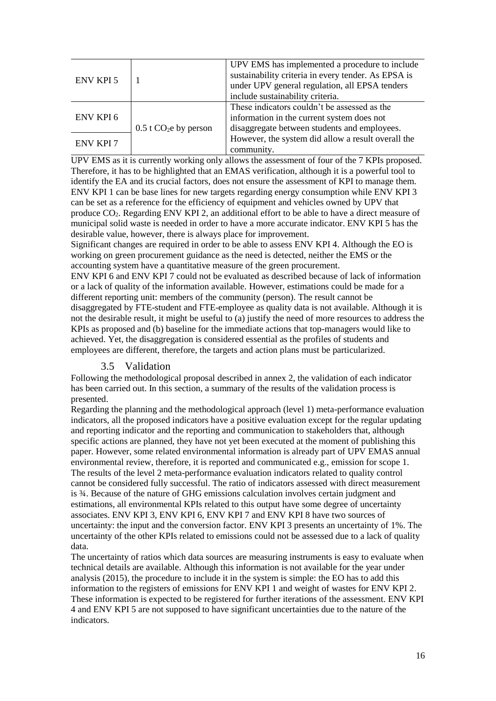| <b>ENV KPI 5</b> |                                     | UPV EMS has implemented a procedure to include<br>sustainability criteria in every tender. As EPSA is<br>under UPV general regulation, all EPSA tenders |  |  |
|------------------|-------------------------------------|---------------------------------------------------------------------------------------------------------------------------------------------------------|--|--|
|                  |                                     | include sustainability criteria.                                                                                                                        |  |  |
| <b>ENV KPI6</b>  |                                     | These indicators couldn't be assessed as the                                                                                                            |  |  |
|                  |                                     | information in the current system does not                                                                                                              |  |  |
|                  | $0.5$ t CO <sub>2</sub> e by person | disaggregate between students and employees.                                                                                                            |  |  |
| <b>ENV KPI 7</b> |                                     | However, the system did allow a result overall the                                                                                                      |  |  |
|                  |                                     | community.                                                                                                                                              |  |  |

UPV EMS as it is currently working only allows the assessment of four of the 7 KPIs proposed. Therefore, it has to be highlighted that an EMAS verification, although it is a powerful tool to identify the EA and its crucial factors, does not ensure the assessment of KPI to manage them. ENV KPI 1 can be base lines for new targets regarding energy consumption while ENV KPI 3 can be set as a reference for the efficiency of equipment and vehicles owned by UPV that produce CO2. Regarding ENV KPI 2, an additional effort to be able to have a direct measure of municipal solid waste is needed in order to have a more accurate indicator. ENV KPI 5 has the desirable value, however, there is always place for improvement.

Significant changes are required in order to be able to assess ENV KPI 4. Although the EO is working on green procurement guidance as the need is detected, neither the EMS or the accounting system have a quantitative measure of the green procurement.

ENV KPI 6 and ENV KPI 7 could not be evaluated as described because of lack of information or a lack of quality of the information available. However, estimations could be made for a different reporting unit: members of the community (person). The result cannot be disaggregated by FTE-student and FTE-employee as quality data is not available. Although it is not the desirable result, it might be useful to (a) justify the need of more resources to address the KPIs as proposed and (b) baseline for the immediate actions that top-managers would like to achieved. Yet, the disaggregation is considered essential as the profiles of students and employees are different, therefore, the targets and action plans must be particularized.

#### 3.5 Validation

Following the methodological proposal described in annex 2, the validation of each indicator has been carried out. In this section, a summary of the results of the validation process is presented.

Regarding the planning and the methodological approach (level 1) meta-performance evaluation indicators, all the proposed indicators have a positive evaluation except for the regular updating and reporting indicator and the reporting and communication to stakeholders that, although specific actions are planned, they have not yet been executed at the moment of publishing this paper. However, some related environmental information is already part of UPV EMAS annual environmental review, therefore, it is reported and communicated e.g., emission for scope 1. The results of the level 2 meta-performance evaluation indicators related to quality control cannot be considered fully successful. The ratio of indicators assessed with direct measurement is ¾. Because of the nature of GHG emissions calculation involves certain judgment and estimations, all environmental KPIs related to this output have some degree of uncertainty associates. ENV KPI 3, ENV KPI 6, ENV KPI 7 and ENV KPI 8 have two sources of uncertainty: the input and the conversion factor. ENV KPI 3 presents an uncertainty of 1%. The uncertainty of the other KPIs related to emissions could not be assessed due to a lack of quality data.

The uncertainty of ratios which data sources are measuring instruments is easy to evaluate when technical details are available. Although this information is not available for the year under analysis (2015), the procedure to include it in the system is simple: the EO has to add this information to the registers of emissions for ENV KPI 1 and weight of wastes for ENV KPI 2. These information is expected to be registered for further iterations of the assessment. ENV KPI 4 and ENV KPI 5 are not supposed to have significant uncertainties due to the nature of the indicators.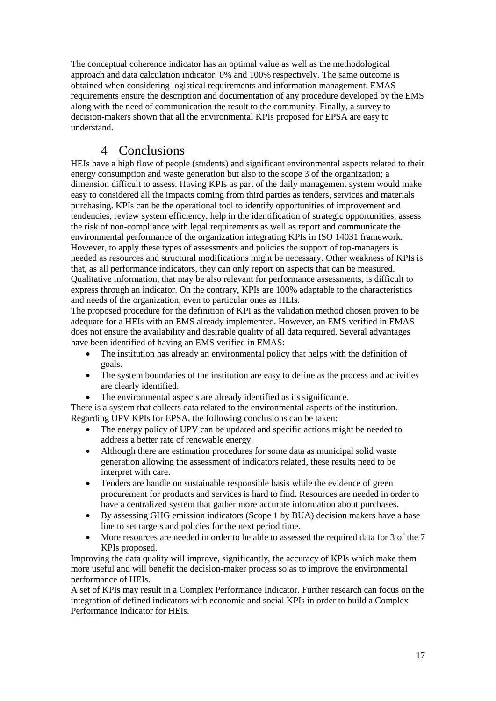The conceptual coherence indicator has an optimal value as well as the methodological approach and data calculation indicator, 0% and 100% respectively. The same outcome is obtained when considering logistical requirements and information management. EMAS requirements ensure the description and documentation of any procedure developed by the EMS along with the need of communication the result to the community. Finally, a survey to decision-makers shown that all the environmental KPIs proposed for EPSA are easy to understand.

# 4 Conclusions

HEIs have a high flow of people (students) and significant environmental aspects related to their energy consumption and waste generation but also to the scope 3 of the organization; a dimension difficult to assess. Having KPIs as part of the daily management system would make easy to considered all the impacts coming from third parties as tenders, services and materials purchasing. KPIs can be the operational tool to identify opportunities of improvement and tendencies, review system efficiency, help in the identification of strategic opportunities, assess the risk of non-compliance with legal requirements as well as report and communicate the environmental performance of the organization integrating KPIs in ISO 14031 framework. However, to apply these types of assessments and policies the support of top-managers is needed as resources and structural modifications might be necessary. Other weakness of KPIs is that, as all performance indicators, they can only report on aspects that can be measured. Qualitative information, that may be also relevant for performance assessments, is difficult to express through an indicator. On the contrary, KPIs are 100% adaptable to the characteristics and needs of the organization, even to particular ones as HEIs.

The proposed procedure for the definition of KPI as the validation method chosen proven to be adequate for a HEIs with an EMS already implemented. However, an EMS verified in EMAS does not ensure the availability and desirable quality of all data required. Several advantages have been identified of having an EMS verified in EMAS:

- The institution has already an environmental policy that helps with the definition of goals.
- The system boundaries of the institution are easy to define as the process and activities are clearly identified.
- The environmental aspects are already identified as its significance.

There is a system that collects data related to the environmental aspects of the institution. Regarding UPV KPIs for EPSA, the following conclusions can be taken:

- The energy policy of UPV can be updated and specific actions might be needed to address a better rate of renewable energy.
- Although there are estimation procedures for some data as municipal solid waste generation allowing the assessment of indicators related, these results need to be interpret with care.
- Tenders are handle on sustainable responsible basis while the evidence of green procurement for products and services is hard to find. Resources are needed in order to have a centralized system that gather more accurate information about purchases.
- By assessing GHG emission indicators (Scope 1 by BUA) decision makers have a base line to set targets and policies for the next period time.
- More resources are needed in order to be able to assessed the required data for 3 of the 7 KPIs proposed.

Improving the data quality will improve, significantly, the accuracy of KPIs which make them more useful and will benefit the decision-maker process so as to improve the environmental performance of HEIs.

A set of KPIs may result in a Complex Performance Indicator. Further research can focus on the integration of defined indicators with economic and social KPIs in order to build a Complex Performance Indicator for HEIs.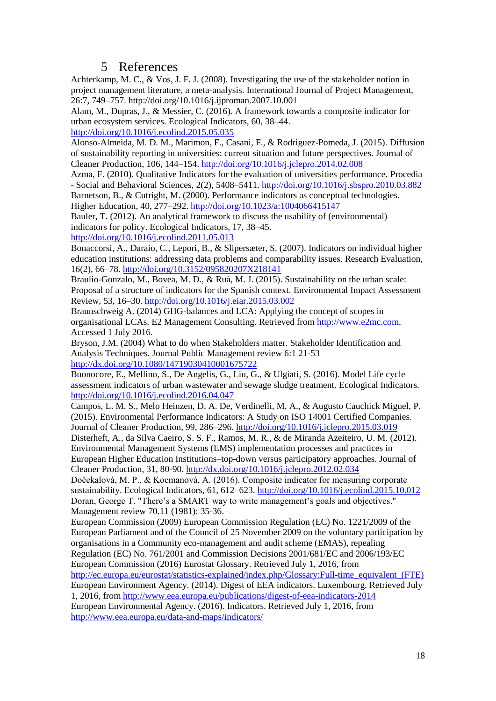# 5 References

Achterkamp, M. C., & Vos, J. F. J. (2008). Investigating the use of the stakeholder notion in project management literature, a meta-analysis. International Journal of Project Management, 26:7, 749–757. http://doi.org/10.1016/j.ijproman.2007.10.001

Alam, M., Dupras, J., & Messier, C. (2016). A framework towards a composite indicator for urban ecosystem services. Ecological Indicators, 60, 38–44.

<http://doi.org/10.1016/j.ecolind.2015.05.035>

Alonso-Almeida, M. D. M., Marimon, F., Casani, F., & Rodriguez-Pomeda, J. (2015). Diffusion of sustainability reporting in universities: current situation and future perspectives. Journal of Cleaner Production, 106, 144–154.<http://doi.org/10.1016/j.jclepro.2014.02.008>

Azma, F. (2010). Qualitative Indicators for the evaluation of universities performance. Procedia - Social and Behavioral Sciences, 2(2), 5408–5411.<http://doi.org/10.1016/j.sbspro.2010.03.882>

Barnetson, B., & Cutright, M. (2000). Performance indicators as conceptual technologies. Higher Education, 40, 277–292.<http://doi.org/10.1023/a:1004066415147>

Bauler, T. (2012). An analytical framework to discuss the usability of (environmental) indicators for policy. Ecological Indicators, 17, 38–45.

<http://doi.org/10.1016/j.ecolind.2011.05.013>

Bonaccorsi, A., Daraio, C., Lepori, B., & Slipersæter, S. (2007). Indicators on individual higher education institutions: addressing data problems and comparability issues. Research Evaluation, 16(2), 66–78.<http://doi.org/10.3152/095820207X218141>

Braulio-Gonzalo, M., Bovea, M. D., & Ruá, M. J. (2015). Sustainability on the urban scale: Proposal of a structure of indicators for the Spanish context. Environmental Impact Assessment Review, 53, 16–30[. http://doi.org/10.1016/j.eiar.2015.03.002](http://doi.org/10.1016/j.eiar.2015.03.002)

Braunschweig A. (2014) GHG-balances and LCA: Applying the concept of scopes in organisational LCAs. E2 Management Consulting. Retrieved from [http://www.e2mc.com.](http://www.e2mc.com/) Accessed 1 July 2016.

Bryson, J.M. (2004) What to do when Stakeholders matter. Stakeholder Identification and Analysis Techniques. Journal Public Management review 6:1 21-53 <http://dx.doi.org/10.1080/14719030410001675722>

Buonocore, E., Mellino, S., De Angelis, G., Liu, G., & Ulgiati, S. (2016). Model Life cycle assessment indicators of urban wastewater and sewage sludge treatment. Ecological Indicators. <http://doi.org/10.1016/j.ecolind.2016.04.047>

Campos, L. M. S., Melo Heinzen, D. A. De, Verdinelli, M. A., & Augusto Cauchick Miguel, P. (2015). Environmental Performance Indicators: A Study on ISO 14001 Certified Companies. Journal of Cleaner Production, 99, 286–296.<http://doi.org/10.1016/j.jclepro.2015.03.019>

Disterheft, A., da Silva Caeiro, S. S. F., Ramos, M. R., & de Miranda Azeiteiro, U. M. (2012). Environmental Management Systems (EMS) implementation processes and practices in European Higher Education Institutions–top-down versus participatory approaches. Journal of

Cleaner Production, 31, 80-90.<http://dx.doi.org/10.1016/j.jclepro.2012.02.034>

Dočekalová, M. P., & Kocmanová, A. (2016). Composite indicator for measuring corporate sustainability. Ecological Indicators, 61, 612–623.<http://doi.org/10.1016/j.ecolind.2015.10.012> Doran, George T. "There's a SMART way to write management's goals and objectives." Management review 70.11 (1981): 35-36.

European Commission (2009) European Commission Regulation (EC) No. 1221/2009 of the European Parliament and of the Council of 25 November 2009 on the voluntary participation by organisations in a Community eco-management and audit scheme (EMAS), repealing Regulation (EC) No. 761/2001 and Commission Decisions 2001/681/EC and 2006/193/EC

European Commission (2016) Eurostat Glossary. Retrieved July 1, 2016, from

[http://ec.europa.eu/eurostat/statistics-explained/index.php/Glossary:Full-time\\_equivalent\\_\(FTE\)](http://ec.europa.eu/eurostat/statistics-explained/index.php/Glossary:Full-time_equivalent_(FTE)) European Environment Agency. (2014). Digest of EEA indicators. Luxembourg. Retrieved July 1, 2016, fro[m http://www.eea.europa.eu/publications/digest-of-eea-indicators-2014](http://www.eea.europa.eu/publications/digest-of-eea-indicators-2014)

European Environmental Agency. (2016). Indicators. Retrieved July 1, 2016, from <http://www.eea.europa.eu/data-and-maps/indicators/>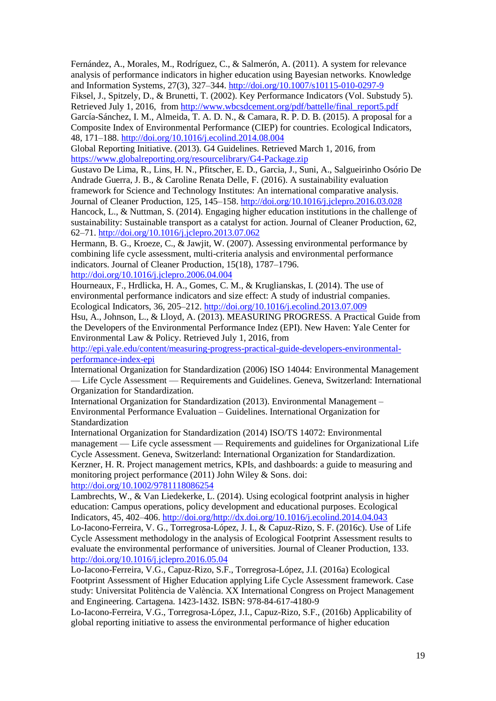Fernández, A., Morales, M., Rodríguez, C., & Salmerón, A. (2011). A system for relevance analysis of performance indicators in higher education using Bayesian networks. Knowledge and Information Systems, 27(3), 327–344.<http://doi.org/10.1007/s10115-010-0297-9>

Fiksel, J., Spitzely, D., & Brunetti, T. (2002). Key Performance Indicators (Vol. Substudy 5). Retrieved July 1, 2016, from [http://www.wbcsdcement.org/pdf/battelle/final\\_report5.pdf](http://www.wbcsdcement.org/pdf/battelle/final_report5.pdf)

García-Sánchez, I. M., Almeida, T. A. D. N., & Camara, R. P. D. B. (2015). A proposal for a Composite Index of Environmental Performance (CIEP) for countries. Ecological Indicators, 48, 171–188.<http://doi.org/10.1016/j.ecolind.2014.08.004>

Global Reporting Initiative. (2013). G4 Guidelines. Retrieved March 1, 2016, from <https://www.globalreporting.org/resourcelibrary/G4-Package.zip>

Gustavo De Lima, R., Lins, H. N., Pfitscher, E. D., Garcia, J., Suni, A., Salgueirinho Osório De Andrade Guerra, J. B., & Caroline Renata Delle, F. (2016). A sustainability evaluation framework for Science and Technology Institutes: An international comparative analysis. Journal of Cleaner Production, 125, 145–158.<http://doi.org/10.1016/j.jclepro.2016.03.028> Hancock, L., & Nuttman, S. (2014). Engaging higher education institutions in the challenge of sustainability: Sustainable transport as a catalyst for action. Journal of Cleaner Production, 62, 62–71.<http://doi.org/10.1016/j.jclepro.2013.07.062>

Hermann, B. G., Kroeze, C., & Jawjit, W. (2007). Assessing environmental performance by combining life cycle assessment, multi-criteria analysis and environmental performance indicators. Journal of Cleaner Production, 15(18), 1787–1796. <http://doi.org/10.1016/j.jclepro.2006.04.004>

Hourneaux, F., Hrdlicka, H. A., Gomes, C. M., & Kruglianskas, I. (2014). The use of environmental performance indicators and size effect: A study of industrial companies. Ecological Indicators, 36, 205–212.<http://doi.org/10.1016/j.ecolind.2013.07.009>

Hsu, A., Johnson, L., & Lloyd, A. (2013). MEASURING PROGRESS. A Practical Guide from the Developers of the Environmental Performance Indez (EPI). New Haven: Yale Center for Environmental Law & Policy. Retrieved July 1, 2016, from

[http://epi.yale.edu/content/measuring-progress-practical-guide-developers-environmental](http://epi.yale.edu/content/measuring-progress-practical-guide-developers-environmental-performance-index-epi)[performance-index-epi](http://epi.yale.edu/content/measuring-progress-practical-guide-developers-environmental-performance-index-epi)

International Organization for Standardization (2006) ISO 14044: Environmental Management — Life Cycle Assessment — Requirements and Guidelines. Geneva, Switzerland: International Organization for Standardization.

International Organization for Standardization (2013). Environmental Management – Environmental Performance Evaluation – Guidelines. International Organization for Standardization

International Organization for Standardization (2014) ISO/TS 14072: Environmental management — Life cycle assessment — Requirements and guidelines for Organizational Life Cycle Assessment. Geneva, Switzerland: International Organization for Standardization. Kerzner, H. R. Project management metrics, KPIs, and dashboards: a guide to measuring and monitoring project performance (2011) John Wiley & Sons. doi: <http://doi.org/10.1002/9781118086254>

Lambrechts, W., & Van Liedekerke, L. (2014). Using ecological footprint analysis in higher education: Campus operations, policy development and educational purposes. Ecological Indicators, 45, 402–406. [http://doi.org/http://dx.doi.org/10.1016/j.ecolind.2014.04.043](http://doi.org/http:/dx.doi.org/10.1016/j.ecolind.2014.04.043) Lo-Iacono-Ferreira, V. G., Torregrosa-López, J. I., & Capuz-Rizo, S. F. (2016c). Use of Life

Cycle Assessment methodology in the analysis of Ecological Footprint Assessment results to evaluate the environmental performance of universities. Journal of Cleaner Production, 133. <http://doi.org/10.1016/j.jclepro.2016.05.04>

Lo-Iacono-Ferreira, V.G., Capuz-Rizo, S.F., Torregrosa-López, J.I. (2016a) Ecological Footprint Assessment of Higher Education applying Life Cycle Assessment framework. Case study: Universitat Politència de València. XX International Congress on Project Management and Engineering. Cartagena. 1423-1432. ISBN: 978-84-617-4180-9

Lo-Iacono-Ferreira, V.G., Torregrosa-López, J.I., Capuz-Rizo, S.F., (2016b) Applicability of global reporting initiative to assess the environmental performance of higher education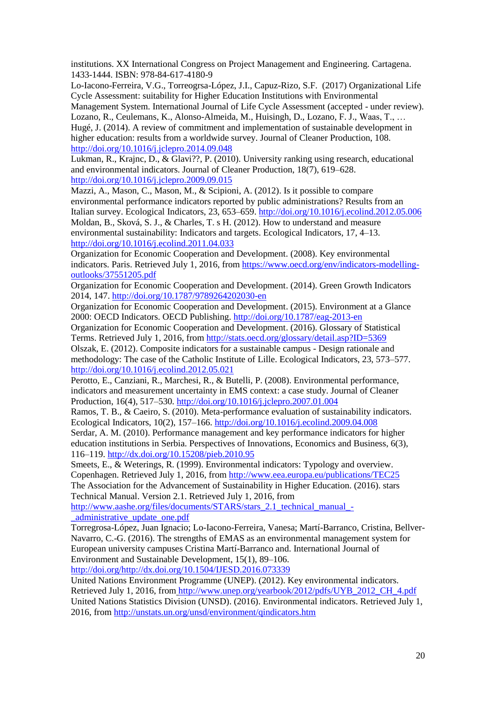institutions. XX International Congress on Project Management and Engineering. Cartagena. 1433-1444. ISBN: 978-84-617-4180-9

Lo-Iacono-Ferreira, V.G., Torreogrsa-López, J.I., Capuz-Rizo, S.F. (2017) Organizational Life Cycle Assessment: suitability for Higher Education Institutions with Environmental Management System. International Journal of Life Cycle Assessment (accepted - under review). Lozano, R., Ceulemans, K., Alonso-Almeida, M., Huisingh, D., Lozano, F. J., Waas, T., … Hugé, J. (2014). A review of commitment and implementation of sustainable development in higher education: results from a worldwide survey. Journal of Cleaner Production, 108. <http://doi.org/10.1016/j.jclepro.2014.09.048>

Lukman, R., Krajnc, D., & Glavi??, P. (2010). University ranking using research, educational and environmental indicators. Journal of Cleaner Production, 18(7), 619–628. <http://doi.org/10.1016/j.jclepro.2009.09.015>

Mazzi, A., Mason, C., Mason, M., & Scipioni, A. (2012). Is it possible to compare environmental performance indicators reported by public administrations? Results from an Italian survey. Ecological Indicators, 23, 653–659.<http://doi.org/10.1016/j.ecolind.2012.05.006> Moldan, B., Sková, S. J., & Charles, T. s H. (2012). How to understand and measure environmental sustainability: Indicators and targets. Ecological Indicators, 17, 4–13. <http://doi.org/10.1016/j.ecolind.2011.04.033>

Organization for Economic Cooperation and Development. (2008). Key environmental indicators. Paris. Retrieved July 1, 2016, fro[m https://www.oecd.org/env/indicators-modelling](https://www.oecd.org/env/indicators-modelling-outlooks/37551205.pdf)[outlooks/37551205.pdf](https://www.oecd.org/env/indicators-modelling-outlooks/37551205.pdf)

Organization for Economic Cooperation and Development. (2014). Green Growth Indicators 2014, 147[. http://doi.org/10.1787/9789264202030-en](http://doi.org/10.1787/9789264202030-en)

Organization for Economic Cooperation and Development. (2015). Environment at a Glance 2000: OECD Indicators. OECD Publishing.<http://doi.org/10.1787/eag-2013-en>

Organization for Economic Cooperation and Development. (2016). Glossary of Statistical Terms. Retrieved July 1, 2016, from<http://stats.oecd.org/glossary/detail.asp?ID=5369> Olszak, E. (2012). Composite indicators for a sustainable campus - Design rationale and

methodology: The case of the Catholic Institute of Lille. Ecological Indicators, 23, 573–577. <http://doi.org/10.1016/j.ecolind.2012.05.021>

Perotto, E., Canziani, R., Marchesi, R., & Butelli, P. (2008). Environmental performance, indicators and measurement uncertainty in EMS context: a case study. Journal of Cleaner Production, 16(4), 517–530.<http://doi.org/10.1016/j.jclepro.2007.01.004>

Ramos, T. B., & Caeiro, S. (2010). Meta-performance evaluation of sustainability indicators. Ecological Indicators, 10(2), 157–166[. http://doi.org/10.1016/j.ecolind.2009.04.008](http://doi.org/10.1016/j.ecolind.2009.04.008)

Serdar, A. M. (2010). Performance management and key performance indicators for higher education institutions in Serbia. Perspectives of Innovations, Economics and Business, 6(3), 116–119.<http://dx.doi.org/10.15208/pieb.2010.95>

Smeets, E., & Weterings, R. (1999). Environmental indicators: Typology and overview. Copenhagen. Retrieved July 1, 2016, from<http://www.eea.europa.eu/publications/TEC25> The Association for the Advancement of Sustainability in Higher Education. (2016). stars

Technical Manual. Version 2.1. Retrieved July 1, 2016, from

[http://www.aashe.org/files/documents/STARS/stars\\_2.1\\_technical\\_manual\\_-](http://www.aashe.org/files/documents/STARS/stars_2.1_technical_manual_-_administrative_update_one.pdf) [\\_administrative\\_update\\_one.pdf](http://www.aashe.org/files/documents/STARS/stars_2.1_technical_manual_-_administrative_update_one.pdf)

Torregrosa-López, Juan Ignacio; Lo-Iacono-Ferreira, Vanesa; Martí-Barranco, Cristina, Bellver-Navarro, C.-G. (2016). The strengths of EMAS as an environmental management system for European university campuses Cristina Martí-Barranco and. International Journal of Environment and Sustainable Development, 15(1), 89–106.

[http://doi.org/http://dx.doi.org/10.1504/IJESD.2016.073339](http://doi.org/http:/dx.doi.org/10.1504/IJESD.2016.073339)

United Nations Environment Programme (UNEP). (2012). Key environmental indicators. Retrieved July 1, 2016, from [http://www.unep.org/yearbook/2012/pdfs/UYB\\_2012\\_CH\\_4.pdf](http://www.unep.org/yearbook/2012/pdfs/UYB_2012_CH_4.pdf) United Nations Statistics Division (UNSD). (2016). Environmental indicators. Retrieved July 1, 2016, fro[m http://unstats.un.org/unsd/environment/qindicators.htm](http://unstats.un.org/unsd/environment/qindicators.htm)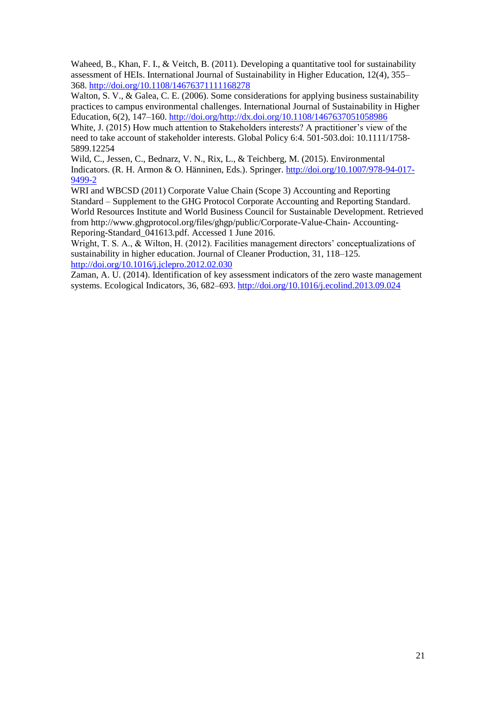Waheed, B., Khan, F. I., & Veitch, B. (2011). Developing a quantitative tool for sustainability assessment of HEIs. International Journal of Sustainability in Higher Education, 12(4), 355– 368.<http://doi.org/10.1108/14676371111168278>

Walton, S. V., & Galea, C. E. (2006). Some considerations for applying business sustainability practices to campus environmental challenges. International Journal of Sustainability in Higher Education, 6(2), 147–160. [http://doi.org/http://dx.doi.org/10.1108/1467637051058986](http://doi.org/http:/dx.doi.org/10.1108/1467637051058986)

White, J. (2015) How much attention to Stakeholders interests? A practitioner's view of the need to take account of stakeholder interests. Global Policy 6:4. 501-503.doi: 10.1111/1758- 5899.12254

Wild, C., Jessen, C., Bednarz, V. N., Rix, L., & Teichberg, M. (2015). Environmental Indicators. (R. H. Armon & O. Hänninen, Eds.). Springer. [http://doi.org/10.1007/978-94-017-](http://doi.org/10.1007/978-94-017-9499-2) [9499-2](http://doi.org/10.1007/978-94-017-9499-2)

WRI and WBCSD (2011) Corporate Value Chain (Scope 3) Accounting and Reporting Standard – Supplement to the GHG Protocol Corporate Accounting and Reporting Standard. World Resources Institute and World Business Council for Sustainable Development. Retrieved from http://www.ghgprotocol.org/files/ghgp/public/Corporate-Value-Chain- Accounting-Reporing-Standard 041613.pdf. Accessed 1 June 2016.

Wright, T. S. A., & Wilton, H. (2012). Facilities management directors' conceptualizations of sustainability in higher education. Journal of Cleaner Production, 31, 118–125. <http://doi.org/10.1016/j.jclepro.2012.02.030>

Zaman, A. U. (2014). Identification of key assessment indicators of the zero waste management systems. Ecological Indicators, 36, 682–693.<http://doi.org/10.1016/j.ecolind.2013.09.024>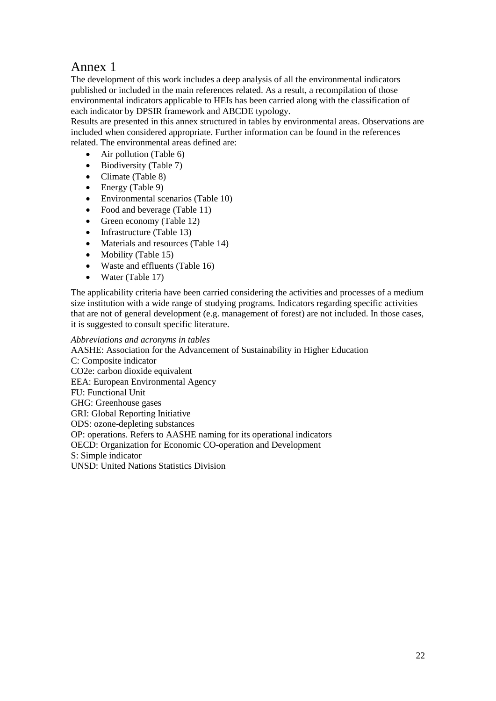# Annex 1

The development of this work includes a deep analysis of all the environmental indicators published or included in the main references related. As a result, a recompilation of those environmental indicators applicable to HEIs has been carried along with the classification of each indicator by DPSIR framework and ABCDE typology.

Results are presented in this annex structured in tables by environmental areas. Observations are included when considered appropriate. Further information can be found in the references related. The environmental areas defined are:

- Air pollution (Table 6)
- $\bullet$  Biodiversity (Table 7)
- Climate (Table 8)
- Energy (Table 9)
- Environmental scenarios (Table 10)
- Food and beverage (Table 11)
- Green economy (Table 12)
- Infrastructure (Table 13)
- Materials and resources (Table 14)
- Mobility (Table 15)
- Waste and effluents (Table 16)
- Water (Table 17)

The applicability criteria have been carried considering the activities and processes of a medium size institution with a wide range of studying programs. Indicators regarding specific activities that are not of general development (e.g. management of forest) are not included. In those cases, it is suggested to consult specific literature.

*Abbreviations and acronyms in tables*

AASHE: Association for the Advancement of Sustainability in Higher Education C: Composite indicator CO2e: carbon dioxide equivalent EEA: European Environmental Agency FU: Functional Unit GHG: Greenhouse gases GRI: Global Reporting Initiative ODS: ozone-depleting substances OP: operations. Refers to AASHE naming for its operational indicators OECD: Organization for Economic CO-operation and Development S: Simple indicator UNSD: United Nations Statistics Division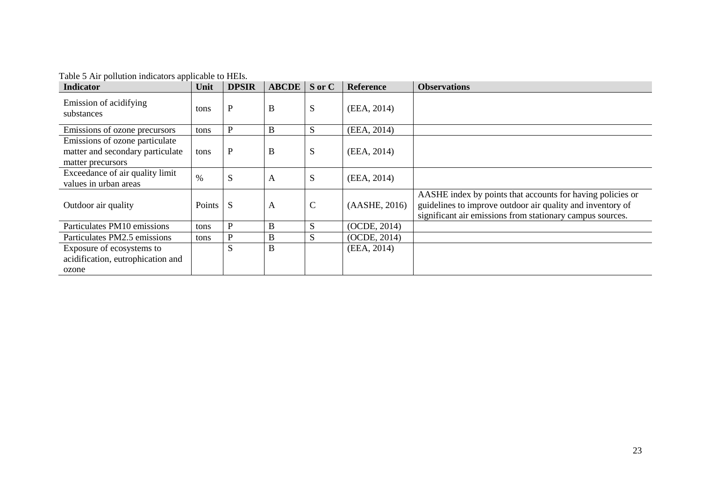| <b>Indicator</b>                                                                        | Unit          | <b>DPSIR</b> | <b>ABCDE</b> | S or C       | <b>Reference</b> | <b>Observations</b>                                                                                                                                                                   |
|-----------------------------------------------------------------------------------------|---------------|--------------|--------------|--------------|------------------|---------------------------------------------------------------------------------------------------------------------------------------------------------------------------------------|
| Emission of acidifying<br>substances                                                    | tons          | P            | B            | S            | (EEA, 2014)      |                                                                                                                                                                                       |
| Emissions of ozone precursors                                                           | tons          | P            | B            | S            | (EEA, 2014)      |                                                                                                                                                                                       |
| Emissions of ozone particulate<br>matter and secondary particulate<br>matter precursors | tons          | $\mathbf{P}$ | B            | S            | (EEA, 2014)      |                                                                                                                                                                                       |
| Exceedance of air quality limit<br>values in urban areas                                | $\%$          | S            | A            | S            | (EEA, 2014)      |                                                                                                                                                                                       |
| Outdoor air quality                                                                     | <b>Points</b> | S            | A            | $\mathsf{C}$ | (AASHE, 2016)    | AASHE index by points that accounts for having policies or<br>guidelines to improve outdoor air quality and inventory of<br>significant air emissions from stationary campus sources. |
| Particulates PM10 emissions                                                             | tons          | P            | B            | S            | (OCDE, 2014)     |                                                                                                                                                                                       |
| Particulates PM2.5 emissions                                                            | tons          | P            | B            | S            | (OCDE, 2014)     |                                                                                                                                                                                       |
| Exposure of ecosystems to<br>acidification, eutrophication and<br>ozone                 |               | S            | B            |              | (EEA, 2014)      |                                                                                                                                                                                       |

Table 5 Air pollution indicators applicable to HEIs.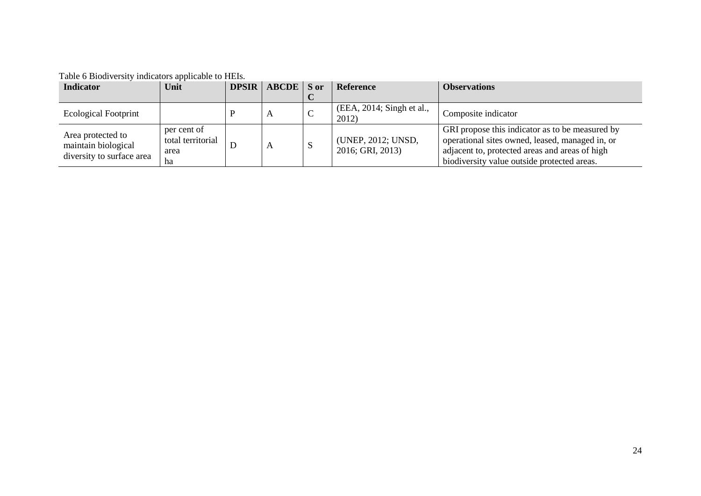| <b>Indicator</b>                                                      | Unit                                           | <b>DPSIR</b>   ABCDE   S or |              | Reference                              | <b>Observations</b>                                                                                                                                                                                 |
|-----------------------------------------------------------------------|------------------------------------------------|-----------------------------|--------------|----------------------------------------|-----------------------------------------------------------------------------------------------------------------------------------------------------------------------------------------------------|
|                                                                       |                                                |                             |              |                                        |                                                                                                                                                                                                     |
| <b>Ecological Footprint</b>                                           |                                                | A                           | $\mathsf{C}$ | $(EEA, 2014;$ Singh et al.,<br>2012)   | Composite indicator                                                                                                                                                                                 |
| Area protected to<br>maintain biological<br>diversity to surface area | per cent of<br>total territorial<br>area<br>ha | A                           |              | (UNEP, 2012; UNSD,<br>2016; GRI, 2013) | GRI propose this indicator as to be measured by<br>operational sites owned, leased, managed in, or<br>adjacent to, protected areas and areas of high<br>biodiversity value outside protected areas. |

Table 6 Biodiversity indicators applicable to HEIs.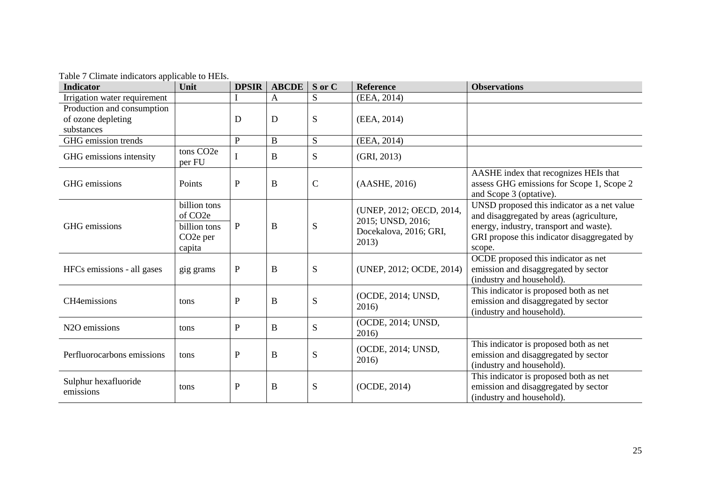Table 7 Climate indicators applicable to HEIs.

| <b>Indicator</b>                                               | Unit                                                                                    | <b>DPSIR</b> | $\bf ABCDE$ | S or C        | <b>Reference</b>                                                                 | <b>Observations</b>                                                                                                                                                                         |
|----------------------------------------------------------------|-----------------------------------------------------------------------------------------|--------------|-------------|---------------|----------------------------------------------------------------------------------|---------------------------------------------------------------------------------------------------------------------------------------------------------------------------------------------|
| Irrigation water requirement                                   |                                                                                         |              | A           | S             | (EEA, 2014)                                                                      |                                                                                                                                                                                             |
| Production and consumption<br>of ozone depleting<br>substances |                                                                                         | D            | D           | S             | (EEA, 2014)                                                                      |                                                                                                                                                                                             |
| GHG emission trends                                            |                                                                                         | $\mathbf P$  | $\bf{B}$    | S             | (EEA, 2014)                                                                      |                                                                                                                                                                                             |
| GHG emissions intensity                                        | tons CO <sub>2</sub> e<br>per FU                                                        | $\bf{l}$     | B           | S.            | (GRI, 2013)                                                                      |                                                                                                                                                                                             |
| GHG emissions                                                  | Points                                                                                  | $\mathbf{P}$ | B           | $\mathcal{C}$ | (AASHE, 2016)                                                                    | AASHE index that recognizes HEIs that<br>assess GHG emissions for Scope 1, Scope 2<br>and Scope 3 (optative).                                                                               |
| GHG emissions                                                  | billion tons<br>of CO <sub>2</sub> e<br>billion tons<br>CO <sub>2</sub> e per<br>capita | $\mathbf{P}$ | B           | S             | (UNEP, 2012; OECD, 2014,<br>2015; UNSD, 2016;<br>Docekalova, 2016; GRI,<br>2013) | UNSD proposed this indicator as a net value<br>and disaggregated by areas (agriculture,<br>energy, industry, transport and waste).<br>GRI propose this indicator disaggregated by<br>scope. |
| HFCs emissions - all gases                                     | gig grams                                                                               | $\, {\bf P}$ | $\bf{B}$    | S             | (UNEP, 2012; OCDE, 2014)                                                         | OCDE proposed this indicator as net<br>emission and disaggregated by sector<br>(industry and household).                                                                                    |
| CH4emissions                                                   | tons                                                                                    | ${\bf P}$    | B           | S             | (OCDE, 2014; UNSD,<br>2016)                                                      | This indicator is proposed both as net<br>emission and disaggregated by sector<br>(industry and household).                                                                                 |
| N <sub>2</sub> O emissions                                     | tons                                                                                    | ${\bf P}$    | B           | S             | (OCDE, 2014; UNSD,<br>2016)                                                      |                                                                                                                                                                                             |
| Perfluorocarbons emissions                                     | tons                                                                                    | ${\bf P}$    | $\bf{B}$    | S             | (OCDE, 2014; UNSD,<br>2016)                                                      | This indicator is proposed both as net<br>emission and disaggregated by sector<br>(industry and household).                                                                                 |
| Sulphur hexafluoride<br>emissions                              | tons                                                                                    | ${\bf P}$    | B           | S             | (OCDE, 2014)                                                                     | This indicator is proposed both as net<br>emission and disaggregated by sector<br>(industry and household).                                                                                 |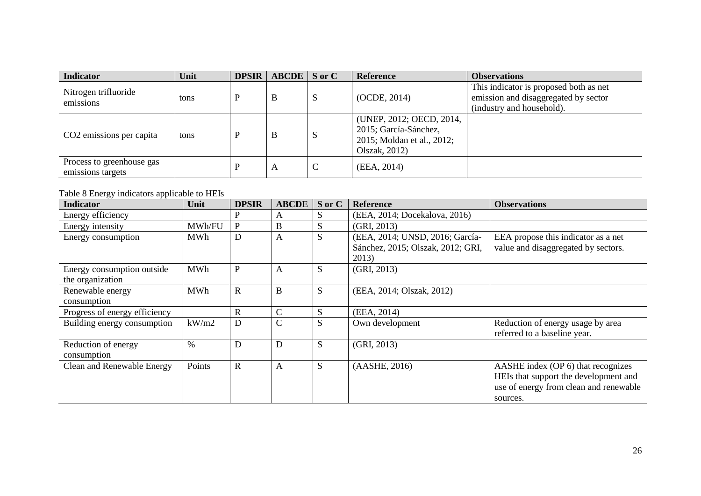| <b>Indicator</b>                               | Unit | <b>DPSIR</b> | $\triangle$ ABCDE $\parallel$ S or C |   | <b>Reference</b>                                                                                 | <b>Observations</b>                                                                                         |
|------------------------------------------------|------|--------------|--------------------------------------|---|--------------------------------------------------------------------------------------------------|-------------------------------------------------------------------------------------------------------------|
| Nitrogen trifluoride<br>emissions              | tons | D            | B                                    | S | (OCDE, 2014)                                                                                     | This indicator is proposed both as net<br>emission and disaggregated by sector<br>(industry and household). |
| CO <sub>2</sub> emissions per capita           | tons | D            | B                                    | S | (UNEP, 2012; OECD, 2014,<br>2015; García-Sánchez,<br>2015; Moldan et al., 2012;<br>Olszak, 2012) |                                                                                                             |
| Process to greenhouse gas<br>emissions targets |      | D            | A                                    | ◡ | (EEA, 2014)                                                                                      |                                                                                                             |

# Table 8 Energy indicators applicable to HEIs

| <b>Indicator</b>                               | Unit       | <b>DPSIR</b> | <b>ABCDE</b>  | S or C | <b>Reference</b>                           | <b>Observations</b>                                                                                                               |
|------------------------------------------------|------------|--------------|---------------|--------|--------------------------------------------|-----------------------------------------------------------------------------------------------------------------------------------|
| Energy efficiency                              |            | P            | A             | S      | (EEA, 2014; Docekalova, 2016)              |                                                                                                                                   |
| Energy intensity                               | MWh/FU     | $\mathbf{P}$ | B             | S      | (GRI, 2013)                                |                                                                                                                                   |
| Energy consumption                             | <b>MWh</b> | D            | A             | S      | (EEA, 2014; UNSD, 2016; García-            | EEA propose this indicator as a net                                                                                               |
|                                                |            |              |               |        | Sánchez, 2015; Olszak, 2012; GRI,<br>2013) | value and disaggregated by sectors.                                                                                               |
| Energy consumption outside<br>the organization | <b>MWh</b> | $\mathbf{P}$ | A             | S      | (GRI, 2013)                                |                                                                                                                                   |
| Renewable energy<br>consumption                | <b>MWh</b> | $\mathbf R$  | $\bf{B}$      | S      | (EEA, 2014; Olszak, 2012)                  |                                                                                                                                   |
| Progress of energy efficiency                  |            | $\mathbf R$  | $\mathbf C$   | S      | (EEA, 2014)                                |                                                                                                                                   |
| Building energy consumption                    | kW/m2      | D            | $\mathcal{C}$ | S      | Own development                            | Reduction of energy usage by area<br>referred to a baseline year.                                                                 |
| Reduction of energy<br>consumption             | $\%$       | D            | D             | S      | (GRI, 2013)                                |                                                                                                                                   |
| Clean and Renewable Energy                     | Points     | $\mathbf R$  | A             | S      | (AASHE, 2016)                              | AASHE index (OP 6) that recognizes<br>HEIs that support the development and<br>use of energy from clean and renewable<br>sources. |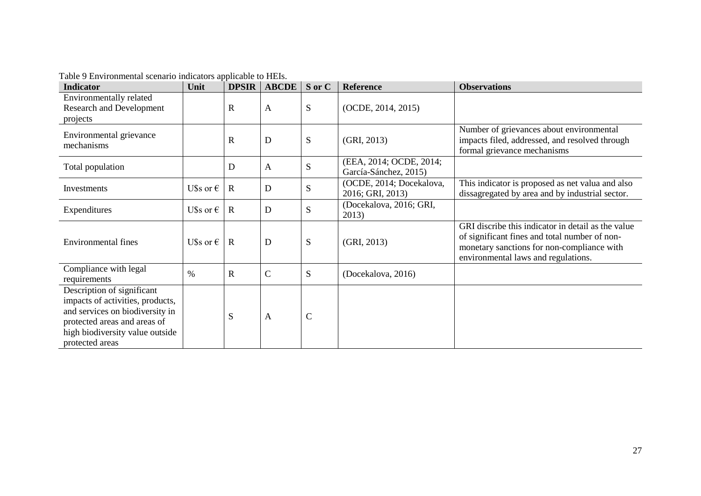| <b>Indicator</b>                                                                                                                                                                        | Unit               | <b>DPSIR</b> | <b>ABCDE</b> | S or C      | Reference                                        | <b>Observations</b>                                                                                                                                                                      |
|-----------------------------------------------------------------------------------------------------------------------------------------------------------------------------------------|--------------------|--------------|--------------|-------------|--------------------------------------------------|------------------------------------------------------------------------------------------------------------------------------------------------------------------------------------------|
| Environmentally related<br><b>Research and Development</b><br>projects                                                                                                                  |                    | $\mathbb{R}$ | $\mathbf{A}$ | S           | (OCDE, 2014, 2015)                               |                                                                                                                                                                                          |
| Environmental grievance<br>mechanisms                                                                                                                                                   |                    | $\mathbf R$  | D            | S           | (GRI, 2013)                                      | Number of grievances about environmental<br>impacts filed, addressed, and resolved through<br>formal grievance mechanisms                                                                |
| Total population                                                                                                                                                                        |                    | D            | $\mathbf{A}$ | S           | (EEA, 2014; OCDE, 2014;<br>García-Sánchez, 2015) |                                                                                                                                                                                          |
| Investments                                                                                                                                                                             | U\$s or $\epsilon$ | $\mathbf R$  | D            | ${\bf S}$   | (OCDE, 2014; Docekalova,<br>2016; GRI, 2013)     | This indicator is proposed as net valua and also<br>dissagregated by area and by industrial sector.                                                                                      |
| Expenditures                                                                                                                                                                            | U\$s or $\epsilon$ | $\mathbf R$  | D            | S           | (Docekalova, 2016; GRI,<br>2013)                 |                                                                                                                                                                                          |
| <b>Environmental fines</b>                                                                                                                                                              | U\$s or $\epsilon$ | $\mathbf{R}$ | D            | S           | (GRI, 2013)                                      | GRI discribe this indicator in detail as the value<br>of significant fines and total number of non-<br>monetary sanctions for non-compliance with<br>environmental laws and regulations. |
| Compliance with legal<br>requirements                                                                                                                                                   | $\%$               | R            | $\mathbf C$  | S           | (Docekalova, 2016)                               |                                                                                                                                                                                          |
| Description of significant<br>impacts of activities, products,<br>and services on biodiversity in<br>protected areas and areas of<br>high biodiversity value outside<br>protected areas |                    | S            | A            | $\mathbf C$ |                                                  |                                                                                                                                                                                          |

Table 9 Environmental scenario indicators applicable to HEIs.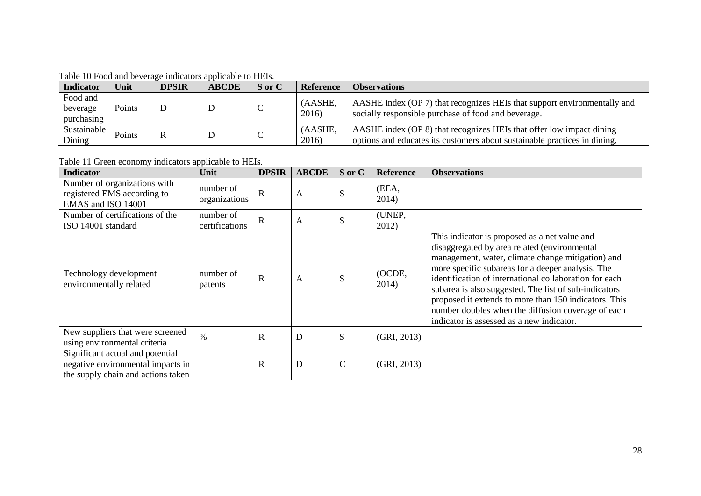Table 10 Food and beverage indicators applicable to HEIs.

|                                    | Tuble To I god and ceverage marched applicable to Time. |              |              |        |                  |                                                                                                                                                   |  |  |  |
|------------------------------------|---------------------------------------------------------|--------------|--------------|--------|------------------|---------------------------------------------------------------------------------------------------------------------------------------------------|--|--|--|
| <b>Indicator</b>                   | Unit                                                    | <b>DPSIR</b> | <b>ABCDE</b> | S or C | <b>Reference</b> | <b>Observations</b>                                                                                                                               |  |  |  |
| Food and<br>beverage<br>purchasing | Points                                                  | D            |              | ◡      | (AASHE,<br>2016) | AASHE index (OP 7) that recognizes HEIs that support environmentally and<br>socially responsible purchase of food and beverage.                   |  |  |  |
| Sustainable<br>Dining              | Points                                                  | R            |              | ◡      | (AASHE,<br>2016) | AASHE index (OP 8) that recognizes HEIs that offer low impact dining<br>options and educates its customers about sustainable practices in dining. |  |  |  |

Table 11 Green economy indicators applicable to HEIs.

| <b>Indicator</b>                                                                                            | Unit                        | <b>DPSIR</b> | <b>ABCDE</b> | S or C      | <b>Reference</b> | <b>Observations</b>                                                                                                                                                                                                                                                                                                                                                                                                                                                                    |
|-------------------------------------------------------------------------------------------------------------|-----------------------------|--------------|--------------|-------------|------------------|----------------------------------------------------------------------------------------------------------------------------------------------------------------------------------------------------------------------------------------------------------------------------------------------------------------------------------------------------------------------------------------------------------------------------------------------------------------------------------------|
| Number of organizations with<br>registered EMS according to<br>EMAS and ISO 14001                           | number of<br>organizations  | $\mathbf R$  | $\mathbf{A}$ | S           | (EEA,<br>2014)   |                                                                                                                                                                                                                                                                                                                                                                                                                                                                                        |
| Number of certifications of the<br>ISO 14001 standard                                                       | number of<br>certifications | $\mathbf R$  | A            | S           | (UNEP,<br>2012)  |                                                                                                                                                                                                                                                                                                                                                                                                                                                                                        |
| Technology development<br>environmentally related                                                           | number of<br>patents        | $\mathbf R$  | A            | S           | (OCDE,<br>2014)  | This indicator is proposed as a net value and<br>disaggregated by area related (environmental<br>management, water, climate change mitigation) and<br>more specific subareas for a deeper analysis. The<br>identification of international collaboration for each<br>subarea is also suggested. The list of sub-indicators<br>proposed it extends to more than 150 indicators. This<br>number doubles when the diffusion coverage of each<br>indicator is assessed as a new indicator. |
| New suppliers that were screened<br>using environmental criteria                                            | $\frac{0}{0}$               | $\mathbf R$  | D            | S           | (GRI, 2013)      |                                                                                                                                                                                                                                                                                                                                                                                                                                                                                        |
| Significant actual and potential<br>negative environmental impacts in<br>the supply chain and actions taken |                             | $\mathbf R$  | D            | $\mathbf C$ | (GRI, 2013)      |                                                                                                                                                                                                                                                                                                                                                                                                                                                                                        |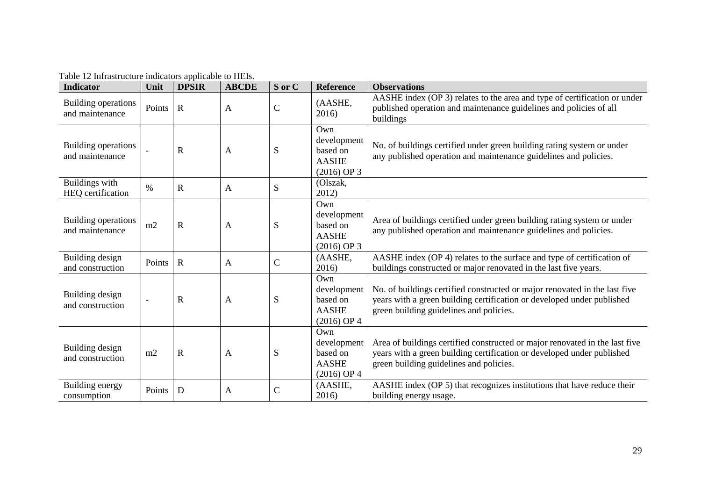| <b>Indicator</b>                              | Unit   | <b>DPSIR</b>   | <b>ABCDE</b> | S or C        | <b>Reference</b>                                                | <b>Observations</b>                                                                                                                                                                              |
|-----------------------------------------------|--------|----------------|--------------|---------------|-----------------------------------------------------------------|--------------------------------------------------------------------------------------------------------------------------------------------------------------------------------------------------|
| Building operations<br>and maintenance        | Points | $\mathbf R$    | $\mathbf{A}$ | $\mathcal{C}$ | (AASHE,<br>2016)                                                | AASHE index (OP 3) relates to the area and type of certification or under<br>published operation and maintenance guidelines and policies of all<br>buildings                                     |
| Building operations<br>and maintenance        |        | $\mathbf R$    | A            | S             | Own<br>development<br>based on<br><b>AASHE</b><br>$(2016)$ OP 3 | No. of buildings certified under green building rating system or under<br>any published operation and maintenance guidelines and policies.                                                       |
| Buildings with<br>HEQ certification           | $\%$   | $\mathbf R$    | $\mathbf{A}$ | S             | (Olszak,<br>2012)                                               |                                                                                                                                                                                                  |
| <b>Building operations</b><br>and maintenance | m2     | $\overline{R}$ | A            | S             | Own<br>development<br>based on<br><b>AASHE</b><br>$(2016)$ OP 3 | Area of buildings certified under green building rating system or under<br>any published operation and maintenance guidelines and policies.                                                      |
| Building design<br>and construction           | Points | $\mathbf R$    | $\mathbf{A}$ | $\mathbf C$   | (AASHE,<br>2016)                                                | AASHE index (OP 4) relates to the surface and type of certification of<br>buildings constructed or major renovated in the last five years.                                                       |
| Building design<br>and construction           |        | $\mathbf R$    | $\mathbf{A}$ | S             | Own<br>development<br>based on<br><b>AASHE</b><br>$(2016)$ OP 4 | No. of buildings certified constructed or major renovated in the last five<br>years with a green building certification or developed under published<br>green building guidelines and policies.  |
| Building design<br>and construction           | m2     | $\mathbf R$    | A            | S             | Own<br>development<br>based on<br><b>AASHE</b><br>$(2016)$ OP 4 | Area of buildings certified constructed or major renovated in the last five<br>years with a green building certification or developed under published<br>green building guidelines and policies. |
| Building energy<br>consumption                | Points | D              | A            | $\mathbf C$   | (AASHE,<br>2016)                                                | AASHE index (OP 5) that recognizes institutions that have reduce their<br>building energy usage.                                                                                                 |

Table 12 Infrastructure indicators applicable to HEIs.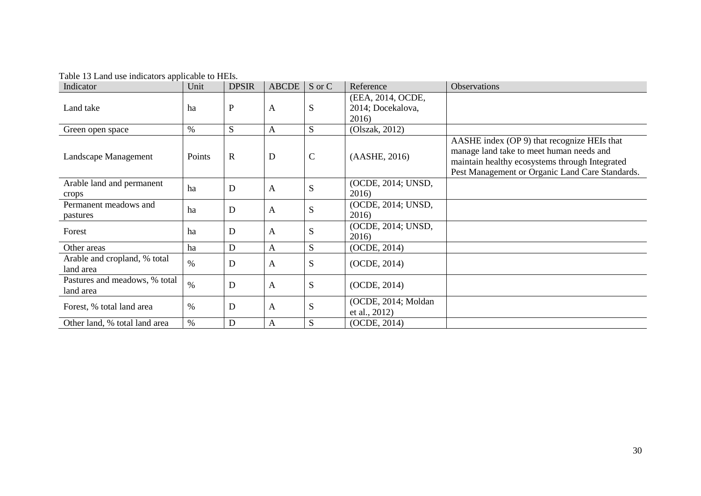| Indicator                                  | Unit          | <b>DPSIR</b> | <b>ABCDE</b> | S or C      | Reference                                       | Observations                                                                                                                                                                                 |
|--------------------------------------------|---------------|--------------|--------------|-------------|-------------------------------------------------|----------------------------------------------------------------------------------------------------------------------------------------------------------------------------------------------|
| Land take                                  | ha            | P            | A            | S           | (EEA, 2014, OCDE,<br>2014; Docekalova,<br>2016) |                                                                                                                                                                                              |
| Green open space                           | $\%$          | S            | $\mathbf{A}$ | S.          | (Olszak, 2012)                                  |                                                                                                                                                                                              |
| Landscape Management                       | Points        | $\mathbf R$  | D            | $\mathbf C$ | (AASHE, 2016)                                   | AASHE index (OP 9) that recognize HEIs that<br>manage land take to meet human needs and<br>maintain healthy ecosystems through Integrated<br>Pest Management or Organic Land Care Standards. |
| Arable land and permanent<br>crops         | ha            | D            | A            | S           | (OCDE, 2014; UNSD,<br>2016)                     |                                                                                                                                                                                              |
| Permanent meadows and<br>pastures          | ha            | D            | $\mathbf{A}$ | S           | (OCDE, 2014; UNSD,<br>2016)                     |                                                                                                                                                                                              |
| Forest                                     | ha            | D            | $\mathbf{A}$ | S           | (OCDE, 2014; UNSD,<br>2016)                     |                                                                                                                                                                                              |
| Other areas                                | ha            | D            | A            | S           | (OCDE, 2014)                                    |                                                                                                                                                                                              |
| Arable and cropland, % total<br>land area  | $\%$          | D            | A            | S           | (OCDE, 2014)                                    |                                                                                                                                                                                              |
| Pastures and meadows, % total<br>land area | $\frac{0}{0}$ | D            | $\mathbf{A}$ | S           | (OCDE, 2014)                                    |                                                                                                                                                                                              |
| Forest, % total land area                  | $\%$          | D            | A            | S           | (OCDE, 2014; Moldan<br>et al., 2012)            |                                                                                                                                                                                              |
| Other land, % total land area              | $\%$          | D            | A            | S           | (OCDE, 2014)                                    |                                                                                                                                                                                              |

Table 13 Land use indicators applicable to HEIs.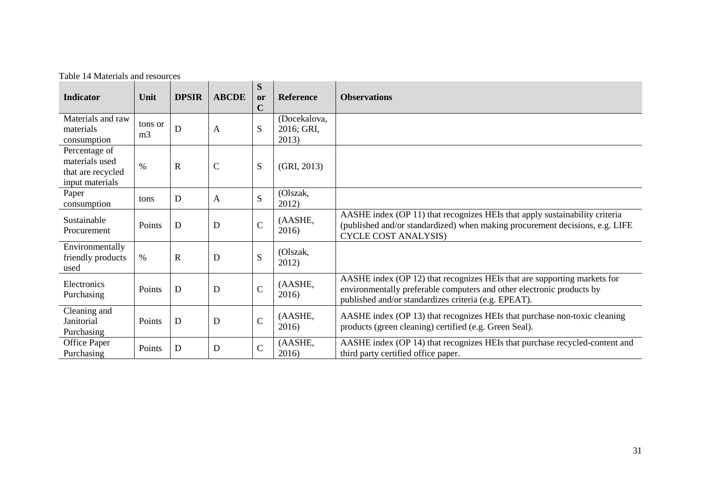|  |  | Table 14 Materials and resources |
|--|--|----------------------------------|
|  |  |                                  |

| <b>Indicator</b>                                                        | Unit                      | <b>DPSIR</b> | <b>ABCDE</b> | S<br>or<br>$\overline{C}$ | <b>Reference</b>                    | <b>Observations</b>                                                                                                                                                                                       |
|-------------------------------------------------------------------------|---------------------------|--------------|--------------|---------------------------|-------------------------------------|-----------------------------------------------------------------------------------------------------------------------------------------------------------------------------------------------------------|
| Materials and raw<br>materials<br>consumption                           | tons or<br>m <sub>3</sub> | D            | A            | S                         | (Docekalova,<br>2016; GRI,<br>2013) |                                                                                                                                                                                                           |
| Percentage of<br>materials used<br>that are recycled<br>input materials | $\%$                      | $\mathbf R$  | $\mathsf C$  | S                         | (GRI, 2013)                         |                                                                                                                                                                                                           |
| Paper<br>consumption                                                    | tons                      | D            | A            | S                         | (Olszak,<br>2012)                   |                                                                                                                                                                                                           |
| Sustainable<br>Procurement                                              | Points                    | D            | $\mathbf D$  | $\mathcal{C}$             | (AASHE,<br>2016)                    | AASHE index (OP 11) that recognizes HEIs that apply sustainability criteria<br>(published and/or standardized) when making procurement decisions, e.g. LIFE<br><b>CYCLE COST ANALYSIS)</b>                |
| Environmentally<br>friendly products<br>used                            | $\%$                      | $\mathbf R$  | $\mathbf D$  | S                         | (Olszak,<br>2012)                   |                                                                                                                                                                                                           |
| Electronics<br>Purchasing                                               | Points                    | D            | $\mathbf D$  | $\mathbf C$               | (AASHE,<br>2016)                    | AASHE index (OP 12) that recognizes HEIs that are supporting markets for<br>environmentally preferable computers and other electronic products by<br>published and/or standardizes criteria (e.g. EPEAT). |
| Cleaning and<br>Janitorial<br>Purchasing                                | Points                    | D            | $\mathbf D$  | $\mathcal{C}$             | (AASHE,<br>2016)                    | AASHE index (OP 13) that recognizes HEIs that purchase non-toxic cleaning<br>products (green cleaning) certified (e.g. Green Seal).                                                                       |
| Office Paper<br>Purchasing                                              | Points                    | D            | D            | $\mathbf C$               | (AASHE,<br>2016)                    | AASHE index (OP 14) that recognizes HEIs that purchase recycled-content and<br>third party certified office paper.                                                                                        |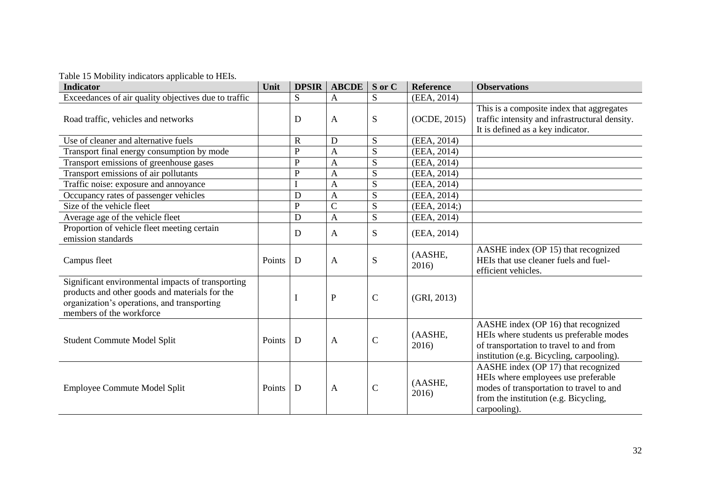Table 15 Mobility indicators applicable to HEIs.

| able to hisomit, maleatols applicable to it<br><b>Indicator</b>                                                                                                                | Unit   | <b>DPSIR</b> | <b>ABCDE</b>   | S or C       | Reference        | <b>Observations</b>                                                                                                                                                             |
|--------------------------------------------------------------------------------------------------------------------------------------------------------------------------------|--------|--------------|----------------|--------------|------------------|---------------------------------------------------------------------------------------------------------------------------------------------------------------------------------|
| Exceedances of air quality objectives due to traffic                                                                                                                           |        | S            | $\mathbf{A}$   | S            | (EEA, 2014)      |                                                                                                                                                                                 |
| Road traffic, vehicles and networks                                                                                                                                            |        | D            | $\mathbf{A}$   | S            | (OCDE, 2015)     | This is a composite index that aggregates<br>traffic intensity and infrastructural density.<br>It is defined as a key indicator.                                                |
| Use of cleaner and alternative fuels                                                                                                                                           |        | $\mathbf R$  | D              | S            | (EEA, 2014)      |                                                                                                                                                                                 |
| Transport final energy consumption by mode                                                                                                                                     |        | $\mathbf P$  | $\mathbf{A}$   | S            | (EEA, 2014)      |                                                                                                                                                                                 |
| Transport emissions of greenhouse gases                                                                                                                                        |        | ${\bf P}$    | A              | S            | (EEA, 2014)      |                                                                                                                                                                                 |
| Transport emissions of air pollutants                                                                                                                                          |        | $\mathbf P$  | $\mathbf{A}$   | S            | (EEA, 2014)      |                                                                                                                                                                                 |
| Traffic noise: exposure and annoyance                                                                                                                                          |        | $\mathbf I$  | $\mathbf{A}$   | S            | (EEA, 2014)      |                                                                                                                                                                                 |
| Occupancy rates of passenger vehicles                                                                                                                                          |        | D            | $\mathbf{A}$   | S            | (EEA, 2014)      |                                                                                                                                                                                 |
| Size of the vehicle fleet                                                                                                                                                      |        | $\mathbf{P}$ | $\overline{C}$ | S            | (EEA, 2014)      |                                                                                                                                                                                 |
| Average age of the vehicle fleet                                                                                                                                               |        | D            | A              | S            | (EEA, 2014)      |                                                                                                                                                                                 |
| Proportion of vehicle fleet meeting certain<br>emission standards                                                                                                              |        | D            | $\mathbf{A}$   | S            | (EEA, 2014)      |                                                                                                                                                                                 |
| Campus fleet                                                                                                                                                                   | Points | D            | $\mathbf{A}$   | S            | (AASHE,<br>2016) | AASHE index (OP 15) that recognized<br>HEIs that use cleaner fuels and fuel-<br>efficient vehicles.                                                                             |
| Significant environmental impacts of transporting<br>products and other goods and materials for the<br>organization's operations, and transporting<br>members of the workforce |        | I            | $\mathbf{P}$   | $\mathbf C$  | (GRI, 2013)      |                                                                                                                                                                                 |
| Student Commute Model Split                                                                                                                                                    | Points | D            | $\mathbf{A}$   | $\mathsf{C}$ | (AASHE,<br>2016) | AASHE index (OP 16) that recognized<br>HEIs where students us preferable modes<br>of transportation to travel to and from<br>institution (e.g. Bicycling, carpooling).          |
| Employee Commute Model Split                                                                                                                                                   | Points | D            | $\mathbf{A}$   | $\mathbf C$  | (AASHE,<br>2016) | AASHE index (OP 17) that recognized<br>HEIs where employees use preferable<br>modes of transportation to travel to and<br>from the institution (e.g. Bicycling,<br>carpooling). |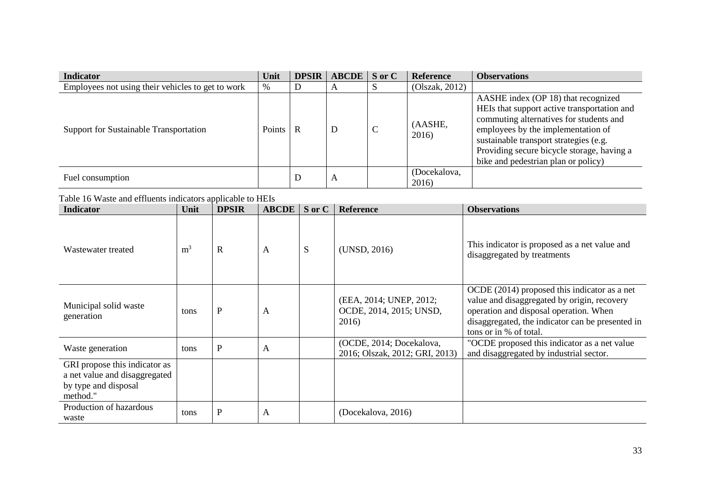| <b>Indicator</b>                                  | Unit          | <b>DPSIR</b> | $\triangle B CDE$ S or C | <b>Reference</b>      | <b>Observations</b>                                                                                                                                                                                                                                                                                |
|---------------------------------------------------|---------------|--------------|--------------------------|-----------------------|----------------------------------------------------------------------------------------------------------------------------------------------------------------------------------------------------------------------------------------------------------------------------------------------------|
| Employees not using their vehicles to get to work | %             |              | $\mathbf{A}$             | (Olszak, 2012)        |                                                                                                                                                                                                                                                                                                    |
| Support for Sustainable Transportation            | <b>Points</b> | R            | D                        | (AASHE,<br>2016)      | AASHE index (OP 18) that recognized<br>HEIs that support active transportation and<br>commuting alternatives for students and<br>employees by the implementation of<br>sustainable transport strategies (e.g.<br>Providing secure bicycle storage, having a<br>bike and pedestrian plan or policy) |
| Fuel consumption                                  |               | ע            | A                        | (Docekalova,<br>2016) |                                                                                                                                                                                                                                                                                                    |

Table 16 Waste and effluents indicators applicable to HEIs

| <b>Indicator</b>                                                                                   | Unit           | <b>DPSIR</b> | <b>ABCDE</b> | S or C | <b>Reference</b>                                            | <b>Observations</b>                                                                                                                                                                                                 |
|----------------------------------------------------------------------------------------------------|----------------|--------------|--------------|--------|-------------------------------------------------------------|---------------------------------------------------------------------------------------------------------------------------------------------------------------------------------------------------------------------|
| Wastewater treated                                                                                 | m <sup>3</sup> | $\mathbf R$  | A            | S      | (UNSD, 2016)                                                | This indicator is proposed as a net value and<br>disaggregated by treatments                                                                                                                                        |
| Municipal solid waste<br>generation                                                                | tons           | $\mathbf P$  | A            |        | (EEA, 2014; UNEP, 2012;<br>OCDE, 2014, 2015; UNSD,<br>2016) | OCDE (2014) proposed this indicator as a net<br>value and disaggregated by origin, recovery<br>operation and disposal operation. When<br>disaggregated, the indicator can be presented in<br>tons or in % of total. |
| Waste generation                                                                                   | tons           | $\mathbf{P}$ | A            |        | (OCDE, 2014; Docekalova,<br>2016; Olszak, 2012; GRI, 2013)  | "OCDE proposed this indicator as a net value<br>and disaggregated by industrial sector.                                                                                                                             |
| GRI propose this indicator as<br>a net value and disaggregated<br>by type and disposal<br>method." |                |              |              |        |                                                             |                                                                                                                                                                                                                     |
| Production of hazardous<br>waste                                                                   | tons           | ${\bf P}$    | A            |        | (Docekalova, 2016)                                          |                                                                                                                                                                                                                     |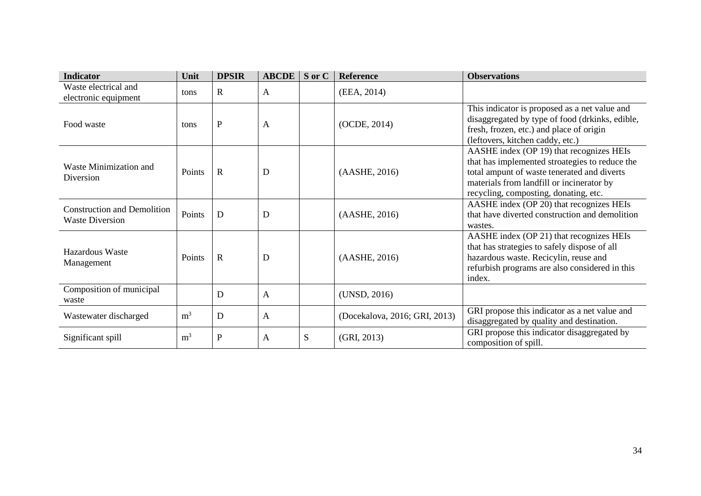| <b>Indicator</b>                                             | Unit           | <b>DPSIR</b> | <b>ABCDE</b> | S or C | Reference                     | <b>Observations</b>                                                                                                                                                                                                             |
|--------------------------------------------------------------|----------------|--------------|--------------|--------|-------------------------------|---------------------------------------------------------------------------------------------------------------------------------------------------------------------------------------------------------------------------------|
| Waste electrical and<br>electronic equipment                 | tons           | $\mathbf R$  | A            |        | (EEA, 2014)                   |                                                                                                                                                                                                                                 |
| Food waste                                                   | tons           | $\mathbf P$  | A            |        | (OCDE, 2014)                  | This indicator is proposed as a net value and<br>disaggregated by type of food (drkinks, edible,<br>fresh, frozen, etc.) and place of origin<br>(leftovers, kitchen caddy, etc.)                                                |
| Waste Minimization and<br>Diversion                          | Points         | $\mathbf R$  | D            |        | (AASHE, 2016)                 | AASHE index (OP 19) that recognizes HEIs<br>that has implemented stroategies to reduce the<br>total ampunt of waste tenerated and diverts<br>materials from landfill or incinerator by<br>recycling, composting, donating, etc. |
| <b>Construction and Demolition</b><br><b>Waste Diversion</b> | Points         | D            | D            |        | (AASHE, 2016)                 | AASHE index (OP 20) that recognizes HEIs<br>that have diverted construction and demolition<br>wastes.                                                                                                                           |
| <b>Hazardous Waste</b><br>Management                         | Points         | $\mathbf R$  | D            |        | (AASHE, 2016)                 | AASHE index (OP 21) that recognizes HEIs<br>that has strategies to safely dispose of all<br>hazardous waste. Recicylin, reuse and<br>refurbish programs are also considered in this<br>index.                                   |
| Composition of municipal<br>waste                            |                | D            | A            |        | (UNSD, 2016)                  |                                                                                                                                                                                                                                 |
| Wastewater discharged                                        | m <sup>3</sup> | D            | A            |        | (Docekalova, 2016; GRI, 2013) | GRI propose this indicator as a net value and<br>disaggregated by quality and destination.                                                                                                                                      |
| Significant spill                                            | m <sup>3</sup> | ${\bf P}$    | A            | S      | (GRI, 2013)                   | GRI propose this indicator disaggregated by<br>composition of spill.                                                                                                                                                            |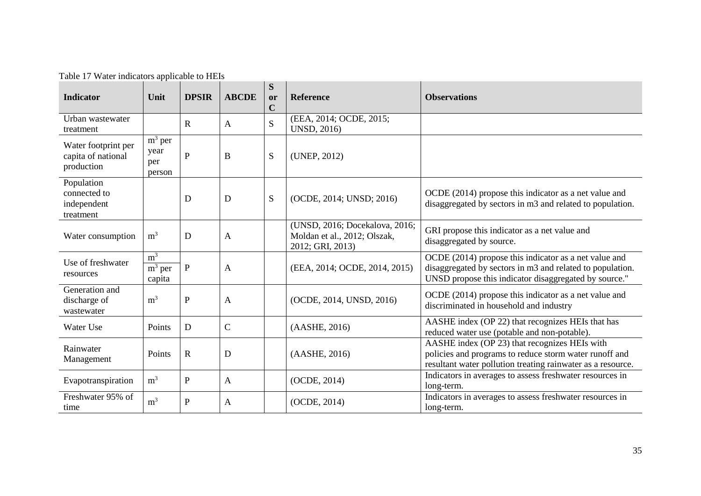| raone 17 maior maneators applicable to Times<br><b>Indicator</b> | Unit                                          | <b>DPSIR</b> | <b>ABCDE</b> | S<br>or<br>$\mathbf C$ | <b>Reference</b>                                                                   | <b>Observations</b>                                                                                                                                                         |
|------------------------------------------------------------------|-----------------------------------------------|--------------|--------------|------------------------|------------------------------------------------------------------------------------|-----------------------------------------------------------------------------------------------------------------------------------------------------------------------------|
| Urban wastewater<br>treatment                                    |                                               | $\mathbf R$  | $\mathbf{A}$ | S                      | (EEA, 2014; OCDE, 2015;<br><b>UNSD, 2016)</b>                                      |                                                                                                                                                                             |
| Water footprint per<br>capita of national<br>production          | $\overline{m}^3$ per<br>year<br>per<br>person | $\mathbf P$  | $\, {\bf B}$ | S                      | (UNEP, 2012)                                                                       |                                                                                                                                                                             |
| Population<br>connected to<br>independent<br>treatment           |                                               | D            | D            | S                      | (OCDE, 2014; UNSD; 2016)                                                           | OCDE (2014) propose this indicator as a net value and<br>disaggregated by sectors in m3 and related to population.                                                          |
| Water consumption                                                | m <sup>3</sup>                                | D            | $\mathbf{A}$ |                        | (UNSD, 2016; Docekalova, 2016;<br>Moldan et al., 2012; Olszak,<br>2012; GRI, 2013) | GRI propose this indicator as a net value and<br>disaggregated by source.                                                                                                   |
| Use of freshwater<br>resources                                   | m <sup>3</sup><br>$m3$ per<br>capita          | ${\bf P}$    | $\mathbf{A}$ |                        | (EEA, 2014; OCDE, 2014, 2015)                                                      | OCDE (2014) propose this indicator as a net value and<br>disaggregated by sectors in m3 and related to population.<br>UNSD propose this indicator disaggregated by source." |
| Generation and<br>discharge of<br>wastewater                     | m <sup>3</sup>                                | ${\bf P}$    | $\mathbf{A}$ |                        | (OCDE, 2014, UNSD, 2016)                                                           | OCDE (2014) propose this indicator as a net value and<br>discriminated in household and industry                                                                            |
| Water Use                                                        | Points                                        | $\mathbf D$  | $\mathbf C$  |                        | (AASHE, 2016)                                                                      | AASHE index (OP 22) that recognizes HEIs that has<br>reduced water use (potable and non-potable).                                                                           |
| Rainwater<br>Management                                          | Points                                        | $\mathbf R$  | D            |                        | (AASHE, 2016)                                                                      | AASHE index (OP 23) that recognizes HEIs with<br>policies and programs to reduce storm water runoff and<br>resultant water pollution treating rainwater as a resource.      |
| Evapotranspiration                                               | m <sup>3</sup>                                | ${\bf P}$    | $\mathbf{A}$ |                        | (OCDE, 2014)                                                                       | Indicators in averages to assess freshwater resources in<br>long-term.                                                                                                      |
| Freshwater 95% of<br>time                                        | m <sup>3</sup>                                | $\mathbf P$  | $\mathbf{A}$ |                        | (OCDE, 2014)                                                                       | Indicators in averages to assess freshwater resources in<br>long-term.                                                                                                      |

Table 17 Water indicators applicable to HEIs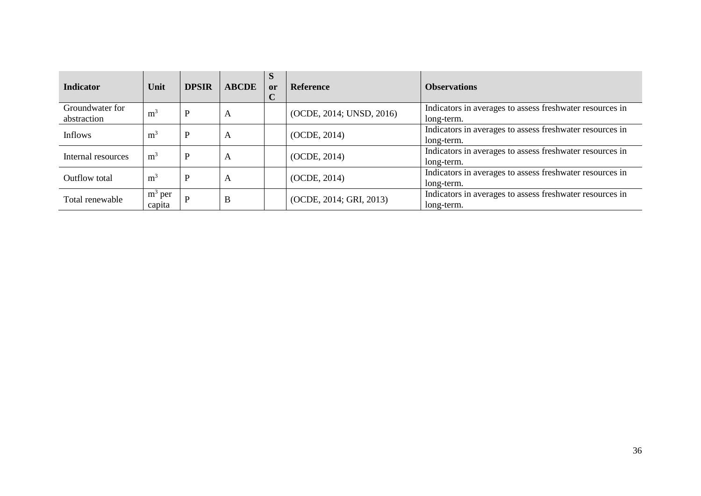| <b>Indicator</b>               | Unit                | <b>DPSIR</b> | <b>ABCDE</b> | S<br><b>or</b> | <b>Reference</b>         | <b>Observations</b>                                                    |
|--------------------------------|---------------------|--------------|--------------|----------------|--------------------------|------------------------------------------------------------------------|
| Groundwater for<br>abstraction | m <sup>3</sup>      | P            | A            |                | (OCDE, 2014; UNSD, 2016) | Indicators in averages to assess freshwater resources in<br>long-term. |
| <b>Inflows</b>                 | m <sup>3</sup>      | P            | A            |                | (OCDE, 2014)             | Indicators in averages to assess freshwater resources in<br>long-term. |
| Internal resources             | m <sup>3</sup>      | P            | A            |                | (OCDE, 2014)             | Indicators in averages to assess freshwater resources in<br>long-term. |
| Outflow total                  | m <sup>3</sup>      | $\mathbf P$  | A            |                | (OCDE, 2014)             | Indicators in averages to assess freshwater resources in<br>long-term. |
| Total renewable                | $m^3$ per<br>capita | P            | B            |                | (OCDE, 2014; GRI, 2013)  | Indicators in averages to assess freshwater resources in<br>long-term. |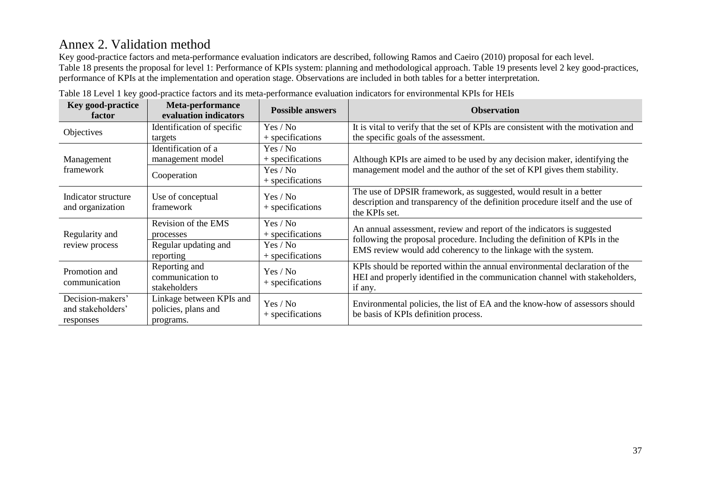# Annex 2. Validation method

Key good-practice factors and meta-performance evaluation indicators are described, following Ramos and Caeiro (2010) proposal for each level. Table 18 presents the proposal for level 1: Performance of KPIs system: planning and methodological approach. Table 19 presents level 2 key good-practices, performance of KPIs at the implementation and operation stage. Observations are included in both tables for a better interpretation.

| <b>Key good-practice</b><br>factor                 | Meta-performance<br>evaluation indicators                    | <b>Possible answers</b>      | <b>Observation</b>                                                                                                                                                                                                    |
|----------------------------------------------------|--------------------------------------------------------------|------------------------------|-----------------------------------------------------------------------------------------------------------------------------------------------------------------------------------------------------------------------|
| Objectives                                         | Identification of specific                                   | Yes / No                     | It is vital to verify that the set of KPIs are consistent with the motivation and                                                                                                                                     |
|                                                    | targets                                                      | + specifications             | the specific goals of the assessment.                                                                                                                                                                                 |
| Management<br>framework                            | Identification of a                                          | Yes / No                     | Although KPIs are aimed to be used by any decision maker, identifying the<br>management model and the author of the set of KPI gives them stability.                                                                  |
|                                                    | management model                                             | + specifications             |                                                                                                                                                                                                                       |
|                                                    | Cooperation                                                  | Yes / No                     |                                                                                                                                                                                                                       |
|                                                    |                                                              | + specifications             |                                                                                                                                                                                                                       |
| Indicator structure<br>and organization            | Use of conceptual<br>framework                               | Yes / No<br>+ specifications | The use of DPSIR framework, as suggested, would result in a better<br>description and transparency of the definition procedure itself and the use of<br>the KPIs set.                                                 |
| Regularity and<br>review process                   | Revision of the EMS<br>processes                             | Yes / No<br>+ specifications | An annual assessment, review and report of the indicators is suggested<br>following the proposal procedure. Including the definition of KPIs in the<br>EMS review would add coherency to the linkage with the system. |
|                                                    | Regular updating and<br>reporting                            | Yes / No<br>+ specifications |                                                                                                                                                                                                                       |
| Promotion and<br>communication                     | Reporting and<br>communication to<br>stakeholders            | Yes / No<br>+ specifications | KPIs should be reported within the annual environmental declaration of the<br>HEI and properly identified in the communication channel with stakeholders,<br>if any.                                                  |
| Decision-makers'<br>and stakeholders'<br>responses | Linkage between KPIs and<br>policies, plans and<br>programs. | Yes / No<br>+ specifications | Environmental policies, the list of EA and the know-how of assessors should<br>be basis of KPIs definition process.                                                                                                   |

Table 18 Level 1 key good-practice factors and its meta-performance evaluation indicators for environmental KPIs for HEIs